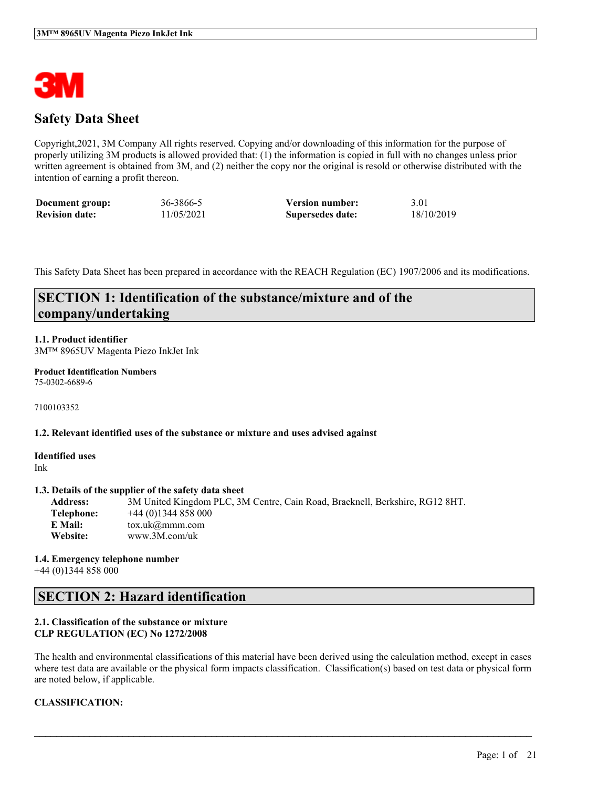

## **Safety Data Sheet**

Copyright,2021, 3M Company All rights reserved. Copying and/or downloading of this information for the purpose of properly utilizing 3M products is allowed provided that: (1) the information is copied in full with no changes unless prior written agreement is obtained from 3M, and (2) neither the copy nor the original is resold or otherwise distributed with the intention of earning a profit thereon.

| Document group:       | 36-3866-5  | <b>Version number:</b> | 3.01       |
|-----------------------|------------|------------------------|------------|
| <b>Revision date:</b> | 11/05/2021 | Supersedes date:       | 18/10/2019 |

This Safety Data Sheet has been prepared in accordance with the REACH Regulation (EC) 1907/2006 and its modifications.

## **SECTION 1: Identification of the substance/mixture and of the company/undertaking**

### **1.1. Product identifier**

3M™ 8965UV Magenta Piezo InkJet Ink

#### **Product Identification Numbers** 75-0302-6689-6

7100103352

#### **1.2. Relevant identified uses of the substance or mixture and uses advised against**

**Identified uses** Ink

#### **1.3. Details of the supplier of the safety data sheet**

**Address:** 3M United Kingdom PLC, 3M Centre, Cain Road, Bracknell, Berkshire, RG12 8HT. **Telephone:** +44 (0)1344 858 000 **E Mail:** tox.uk@mmm.com **Website:** www.3M.com/uk

#### **1.4. Emergency telephone number** +44 (0)1344 858 000

### **SECTION 2: Hazard identification**

### **2.1. Classification of the substance or mixture CLP REGULATION (EC) No 1272/2008**

The health and environmental classifications of this material have been derived using the calculation method, except in cases where test data are available or the physical form impacts classification. Classification(s) based on test data or physical form are noted below, if applicable.

 $\mathcal{L}_\mathcal{L} = \mathcal{L}_\mathcal{L} = \mathcal{L}_\mathcal{L} = \mathcal{L}_\mathcal{L} = \mathcal{L}_\mathcal{L} = \mathcal{L}_\mathcal{L} = \mathcal{L}_\mathcal{L} = \mathcal{L}_\mathcal{L} = \mathcal{L}_\mathcal{L} = \mathcal{L}_\mathcal{L} = \mathcal{L}_\mathcal{L} = \mathcal{L}_\mathcal{L} = \mathcal{L}_\mathcal{L} = \mathcal{L}_\mathcal{L} = \mathcal{L}_\mathcal{L} = \mathcal{L}_\mathcal{L} = \mathcal{L}_\mathcal{L}$ 

### **CLASSIFICATION:**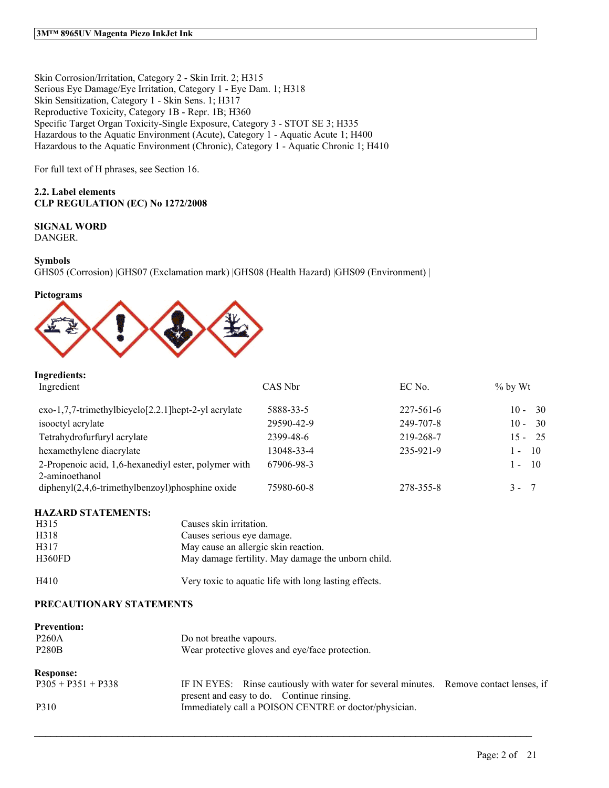Skin Corrosion/Irritation, Category 2 - Skin Irrit. 2; H315 Serious Eye Damage/Eye Irritation, Category 1 - Eye Dam. 1; H318 Skin Sensitization, Category 1 - Skin Sens. 1; H317 Reproductive Toxicity, Category 1B - Repr. 1B; H360 Specific Target Organ Toxicity-Single Exposure, Category 3 - STOT SE 3; H335 Hazardous to the Aquatic Environment (Acute), Category 1 - Aquatic Acute 1; H400 Hazardous to the Aquatic Environment (Chronic), Category 1 - Aquatic Chronic 1; H410

For full text of H phrases, see Section 16.

### **2.2. Label elements CLP REGULATION (EC) No 1272/2008**

### **SIGNAL WORD**

DANGER.

#### **Symbols**

GHS05 (Corrosion) |GHS07 (Exclamation mark) |GHS08 (Health Hazard) |GHS09 (Environment) |





### **Ingredients:**

| Ingredient                                                             | CAS Nbr    | EC No.          | $\%$ by Wt               |
|------------------------------------------------------------------------|------------|-----------------|--------------------------|
| $exo-1,7,7-$ trimethylbicyclo $[2.2.1]$ hept-2-yl acrylate             | 5888-33-5  | $227 - 561 - 6$ | -30<br>$10 -$            |
| isooctyl acrylate                                                      | 29590-42-9 | 249-707-8       | -30<br>$10 -$            |
| Tetrahydrofurfuryl acrylate                                            | 2399-48-6  | 219-268-7       | $15 - 25$                |
| hexamethylene diacrylate                                               | 13048-33-4 | 235-921-9       | $\overline{10}$<br>$1 -$ |
| 2-Propenoic acid, 1,6-hexanediyl ester, polymer with<br>2-aminoethanol | 67906-98-3 |                 | $1 - 10$                 |
| $diphenyl(2,4,6-trimethylbenzoyl)phosphine oxide$                      | 75980-60-8 | 278-355-8       | $3 -$<br>- 7             |

### **HAZARD STATEMENTS:**

| H <sub>3</sub> 15 | Causes skin irritation.                               |
|-------------------|-------------------------------------------------------|
| H318              | Causes serious eve damage.                            |
| H317              | May cause an allergic skin reaction.                  |
| H360FD            | May damage fertility. May damage the unborn child.    |
| H410              | Very toxic to aquatic life with long lasting effects. |

#### **PRECAUTIONARY STATEMENTS**

| <b>Prevention:</b>   |                                                                                                                                     |  |
|----------------------|-------------------------------------------------------------------------------------------------------------------------------------|--|
| <b>P260A</b>         | Do not breathe vapours.                                                                                                             |  |
| <b>P280B</b>         | Wear protective gloves and eye/face protection.                                                                                     |  |
| <b>Response:</b>     |                                                                                                                                     |  |
| $P305 + P351 + P338$ | IF IN EYES: Rinse cautiously with water for several minutes. Remove contact lenses, if<br>present and easy to do. Continue rinsing. |  |
| P310                 | Immediately call a POISON CENTRE or doctor/physician.                                                                               |  |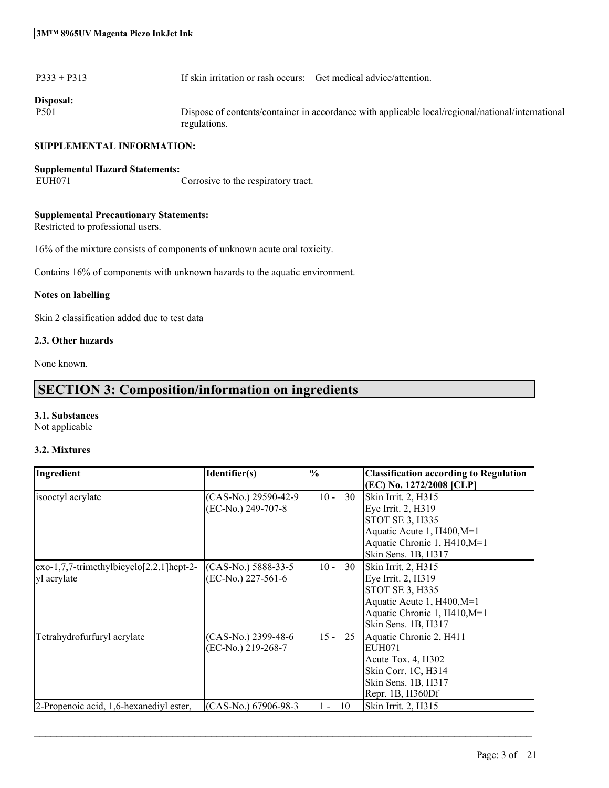| $P333 + P313$<br>If skin irritation or rash occurs: Get medical advice/attention. |
|-----------------------------------------------------------------------------------|
|-----------------------------------------------------------------------------------|

**Disposal:**

P501 Dispose of contents/container in accordance with applicable local/regional/national/international regulations.

#### **SUPPLEMENTAL INFORMATION:**

### **Supplemental Hazard Statements:** Corrosive to the respiratory tract.

#### **Supplemental Precautionary Statements:**

Restricted to professional users.

16% of the mixture consists of components of unknown acute oral toxicity.

Contains 16% of components with unknown hazards to the aquatic environment.

#### **Notes on labelling**

Skin 2 classification added due to test data

#### **2.3. Other hazards**

None known.

## **SECTION 3: Composition/information on ingredients**

### **3.1. Substances**

Not applicable

### **3.2. Mixtures**

| Ingredient                                                     | Identifier(s)                              | $\frac{0}{0}$ | <b>Classification according to Regulation</b><br>(EC) No. 1272/2008 [CLP]                                                                         |
|----------------------------------------------------------------|--------------------------------------------|---------------|---------------------------------------------------------------------------------------------------------------------------------------------------|
| isooctyl acrylate                                              | (CAS-No.) 29590-42-9<br>(EC-No.) 249-707-8 | 30<br>$10 -$  | Skin Irrit. 2, H315<br>Eye Irrit. 2, H319<br>STOT SE 3, H335<br>Aquatic Acute 1, H400, M=1<br>Aquatic Chronic 1, H410, M=1<br>Skin Sens. 1B, H317 |
| $exo-1,7,7-$ trimethylbicyclo $[2.2.1]$ hept-2-<br>yl acrylate | (CAS-No.) 5888-33-5<br>(EC-No.) 227-561-6  | $10 -$<br>30  | Skin Irrit. 2, H315<br>Eye Irrit. 2, H319<br>STOT SE 3, H335<br>Aquatic Acute 1, H400, M=1<br>Aquatic Chronic 1, H410, M=1<br>Skin Sens. 1B, H317 |
| Tetrahydrofurfuryl acrylate                                    | (CAS-No.) 2399-48-6<br>(EC-No.) 219-268-7  | $15 -$<br>25  | Aquatic Chronic 2, H411<br>EUH071<br>Acute Tox. 4, H302<br>Skin Corr. 1C, H314<br>Skin Sens. 1B, H317<br>Repr. 1B, H360Df                         |
| 2-Propenoic acid, 1,6-hexanediyl ester,                        | (CAS-No.) 67906-98-3                       | -10<br>1 -    | Skin Irrit. 2, H315                                                                                                                               |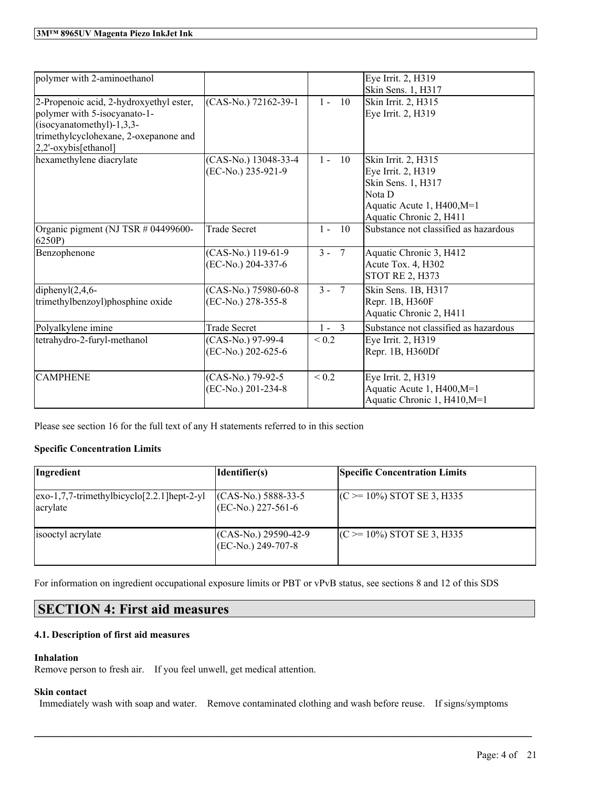| polymer with 2-aminoethanol                                                                                                                                             |                                            |                          | Eye Irrit. 2, H319<br>Skin Sens. 1, H317                                                                                           |
|-------------------------------------------------------------------------------------------------------------------------------------------------------------------------|--------------------------------------------|--------------------------|------------------------------------------------------------------------------------------------------------------------------------|
| 2-Propenoic acid, 2-hydroxyethyl ester,<br>polymer with 5-isocyanato-1-<br>$(isocyanatomethyl)-1,3,3-$<br>trimethylcyclohexane, 2-oxepanone and<br>2,2'-oxybis[ethanol] | (CAS-No.) 72162-39-1                       | 10<br>$1 -$              | Skin Irrit. 2, H315<br>Eye Irrit. 2, H319                                                                                          |
| hexamethylene diacrylate                                                                                                                                                | (CAS-No.) 13048-33-4<br>(EC-No.) 235-921-9 | $1 -$<br>10              | Skin Irrit. 2, H315<br>Eye Irrit. 2, H319<br>Skin Sens. 1, H317<br>Nota D<br>Aquatic Acute 1, H400, M=1<br>Aquatic Chronic 2, H411 |
| Organic pigment (NJ TSR # 04499600-<br>6250P)                                                                                                                           | <b>Trade Secret</b>                        | 10<br>$1 -$              | Substance not classified as hazardous                                                                                              |
| Benzophenone                                                                                                                                                            | (CAS-No.) 119-61-9<br>(EC-No.) 204-337-6   | $3 -$<br>$7\phantom{.0}$ | Aquatic Chronic 3, H412<br>Acute Tox. 4, H302<br><b>STOT RE 2, H373</b>                                                            |
| diphenyl $(2,4,6$ -<br>trimethylbenzoyl)phosphine oxide                                                                                                                 | (CAS-No.) 75980-60-8<br>(EC-No.) 278-355-8 | $3 -$<br>$\overline{7}$  | Skin Sens. 1B, H317<br>Repr. 1B, H360F<br>Aquatic Chronic 2, H411                                                                  |
| Polyalkylene imine                                                                                                                                                      | <b>Trade Secret</b>                        | $1 - 3$                  | Substance not classified as hazardous                                                                                              |
| tetrahydro-2-furyl-methanol                                                                                                                                             | (CAS-No.) 97-99-4<br>(EC-No.) 202-625-6    | ${}_{0.2}$               | Eye Irrit. 2, H319<br>Repr. 1B, H360Df                                                                                             |
| <b>CAMPHENE</b>                                                                                                                                                         | (CAS-No.) 79-92-5<br>(EC-No.) 201-234-8    | ${}_{0.2}$               | Eye Irrit. 2, H319<br>Aquatic Acute 1, H400, M=1<br>Aquatic Chronic 1, H410, M=1                                                   |

Please see section 16 for the full text of any H statements referred to in this section

### **Specific Concentration Limits**

| Ingredient                                                                                        | Identifier(s)                                    | <b>Specific Concentration Limits</b> |
|---------------------------------------------------------------------------------------------------|--------------------------------------------------|--------------------------------------|
| $\left[\frac{exo-1}{7}, \frac{7}{1}$ -trimethylbicyclo $\left[2.2.1\right]$ hept-2-yl<br>acrylate | $(CAS-No.) 5888-33-5$<br>$ (EC-N0, 227-561-6) $  | $(C \ge 10\%)$ STOT SE 3, H335       |
| isooctyl acrylate                                                                                 | $(CAS-No.) 29590-42-9$<br>$ (EC-N0.) 249-707-8 $ | $(C \ge 10\%)$ STOT SE 3, H335       |

For information on ingredient occupational exposure limits or PBT or vPvB status, see sections 8 and 12 of this SDS

## **SECTION 4: First aid measures**

### **4.1. Description of first aid measures**

### **Inhalation**

Remove person to fresh air. If you feel unwell, get medical attention.

### **Skin contact**

Immediately wash with soap and water. Remove contaminated clothing and wash before reuse. If signs/symptoms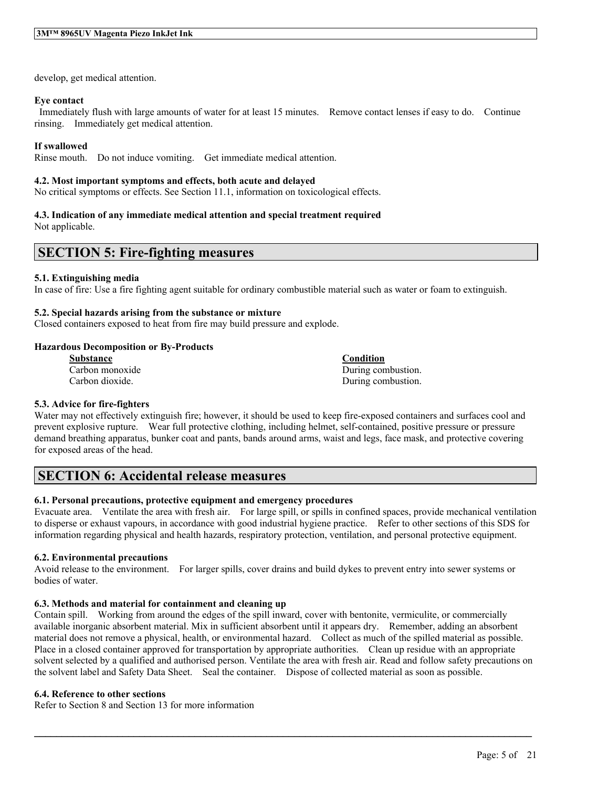develop, get medical attention.

#### **Eye contact**

Immediately flush with large amounts of water for at least 15 minutes. Remove contact lenses if easy to do. Continue rinsing. Immediately get medical attention.

### **If swallowed**

Rinse mouth. Do not induce vomiting. Get immediate medical attention.

#### **4.2. Most important symptoms and effects, both acute and delayed**

No critical symptoms or effects. See Section 11.1, information on toxicological effects.

### **4.3. Indication of any immediate medical attention and special treatment required**

Not applicable.

## **SECTION 5: Fire-fighting measures**

#### **5.1. Extinguishing media**

In case of fire: Use a fire fighting agent suitable for ordinary combustible material such as water or foam to extinguish.

#### **5.2. Special hazards arising from the substance or mixture**

Closed containers exposed to heat from fire may build pressure and explode.

#### **Hazardous Decomposition or By-Products**

| <b>Substance</b> | Condition          |
|------------------|--------------------|
| Carbon monoxide  | During combustion. |
| Carbon dioxide.  | During combustion. |

#### **5.3. Advice for fire-fighters**

Water may not effectively extinguish fire; however, it should be used to keep fire-exposed containers and surfaces cool and prevent explosive rupture. Wear full protective clothing, including helmet, self-contained, positive pressure or pressure demand breathing apparatus, bunker coat and pants, bands around arms, waist and legs, face mask, and protective covering for exposed areas of the head.

### **SECTION 6: Accidental release measures**

### **6.1. Personal precautions, protective equipment and emergency procedures**

Evacuate area. Ventilate the area with fresh air. For large spill, or spills in confined spaces, provide mechanical ventilation to disperse or exhaust vapours, in accordance with good industrial hygiene practice. Refer to other sections of this SDS for information regarding physical and health hazards, respiratory protection, ventilation, and personal protective equipment.

#### **6.2. Environmental precautions**

Avoid release to the environment. For larger spills, cover drains and build dykes to prevent entry into sewer systems or bodies of water.

### **6.3. Methods and material for containment and cleaning up**

Contain spill. Working from around the edges of the spill inward, cover with bentonite, vermiculite, or commercially available inorganic absorbent material. Mix in sufficient absorbent until it appears dry. Remember, adding an absorbent material does not remove a physical, health, or environmental hazard. Collect as much of the spilled material as possible. Place in a closed container approved for transportation by appropriate authorities. Clean up residue with an appropriate solvent selected by a qualified and authorised person. Ventilate the area with fresh air. Read and follow safety precautions on the solvent label and Safety Data Sheet. Seal the container. Dispose of collected material as soon as possible.

 $\mathcal{L}_\mathcal{L} = \mathcal{L}_\mathcal{L} = \mathcal{L}_\mathcal{L} = \mathcal{L}_\mathcal{L} = \mathcal{L}_\mathcal{L} = \mathcal{L}_\mathcal{L} = \mathcal{L}_\mathcal{L} = \mathcal{L}_\mathcal{L} = \mathcal{L}_\mathcal{L} = \mathcal{L}_\mathcal{L} = \mathcal{L}_\mathcal{L} = \mathcal{L}_\mathcal{L} = \mathcal{L}_\mathcal{L} = \mathcal{L}_\mathcal{L} = \mathcal{L}_\mathcal{L} = \mathcal{L}_\mathcal{L} = \mathcal{L}_\mathcal{L}$ 

#### **6.4. Reference to other sections**

Refer to Section 8 and Section 13 for more information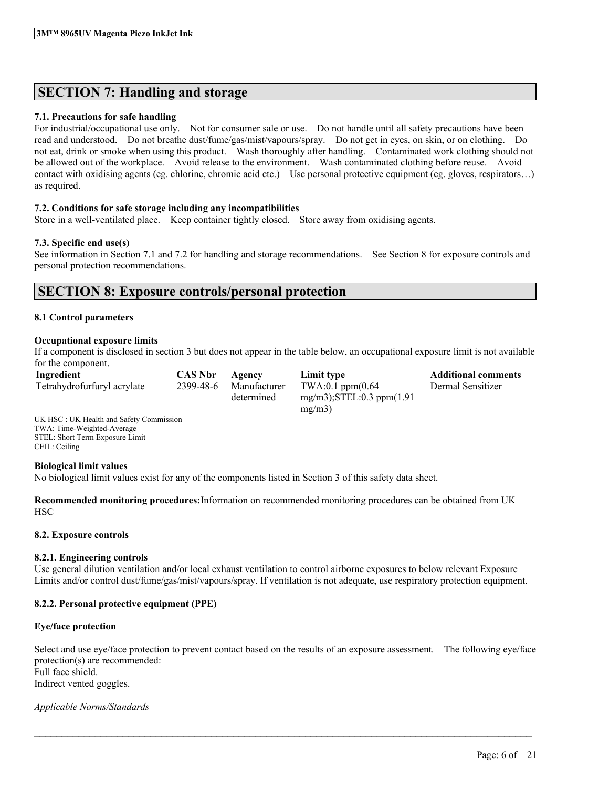## **SECTION 7: Handling and storage**

### **7.1. Precautions for safe handling**

For industrial/occupational use only. Not for consumer sale or use. Do not handle until all safety precautions have been read and understood. Do not breathe dust/fume/gas/mist/vapours/spray. Do not get in eyes, on skin, or on clothing. Do not eat, drink or smoke when using this product. Wash thoroughly after handling. Contaminated work clothing should not be allowed out of the workplace. Avoid release to the environment. Wash contaminated clothing before reuse. Avoid contact with oxidising agents (eg. chlorine, chromic acid etc.) Use personal protective equipment (eg. gloves, respirators…) as required.

### **7.2. Conditions for safe storage including any incompatibilities**

Store in a well-ventilated place. Keep container tightly closed. Store away from oxidising agents.

### **7.3. Specific end use(s)**

See information in Section 7.1 and 7.2 for handling and storage recommendations. See Section 8 for exposure controls and personal protection recommendations.

## **SECTION 8: Exposure controls/personal protection**

### **8.1 Control parameters**

#### **Occupational exposure limits**

If a component is disclosed in section 3 but does not appear in the table below, an occupational exposure limit is not available for the component.

| Ingredient                  | <b>CAS Nbr</b> | Agency       | Limit type                       | <b>Additional comments</b> |
|-----------------------------|----------------|--------------|----------------------------------|----------------------------|
| Tetrahydrofurfuryl acrylate | 2399-48-6      | Manufacturer | $TWA:0.1$ ppm $(0.64)$           | Dermal Sensitizer          |
|                             |                | determined   | $mg/m3$ : STEL: 0.3 ppm $(1.91)$ |                            |
|                             |                |              | mg/m3)                           |                            |

UK HSC : UK Health and Safety Commission TWA: Time-Weighted-Average STEL: Short Term Exposure Limit CEIL: Ceiling

#### **Biological limit values**

No biological limit values exist for any of the components listed in Section 3 of this safety data sheet.

**Recommended monitoring procedures:**Information on recommended monitoring procedures can be obtained from UK HSC

### **8.2. Exposure controls**

#### **8.2.1. Engineering controls**

Use general dilution ventilation and/or local exhaust ventilation to control airborne exposures to below relevant Exposure Limits and/or control dust/fume/gas/mist/vapours/spray. If ventilation is not adequate, use respiratory protection equipment.

### **8.2.2. Personal protective equipment (PPE)**

### **Eye/face protection**

Select and use eye/face protection to prevent contact based on the results of an exposure assessment. The following eye/face protection(s) are recommended: Full face shield.

 $\mathcal{L}_\mathcal{L} = \mathcal{L}_\mathcal{L} = \mathcal{L}_\mathcal{L} = \mathcal{L}_\mathcal{L} = \mathcal{L}_\mathcal{L} = \mathcal{L}_\mathcal{L} = \mathcal{L}_\mathcal{L} = \mathcal{L}_\mathcal{L} = \mathcal{L}_\mathcal{L} = \mathcal{L}_\mathcal{L} = \mathcal{L}_\mathcal{L} = \mathcal{L}_\mathcal{L} = \mathcal{L}_\mathcal{L} = \mathcal{L}_\mathcal{L} = \mathcal{L}_\mathcal{L} = \mathcal{L}_\mathcal{L} = \mathcal{L}_\mathcal{L}$ 

Indirect vented goggles.

*Applicable Norms/Standards*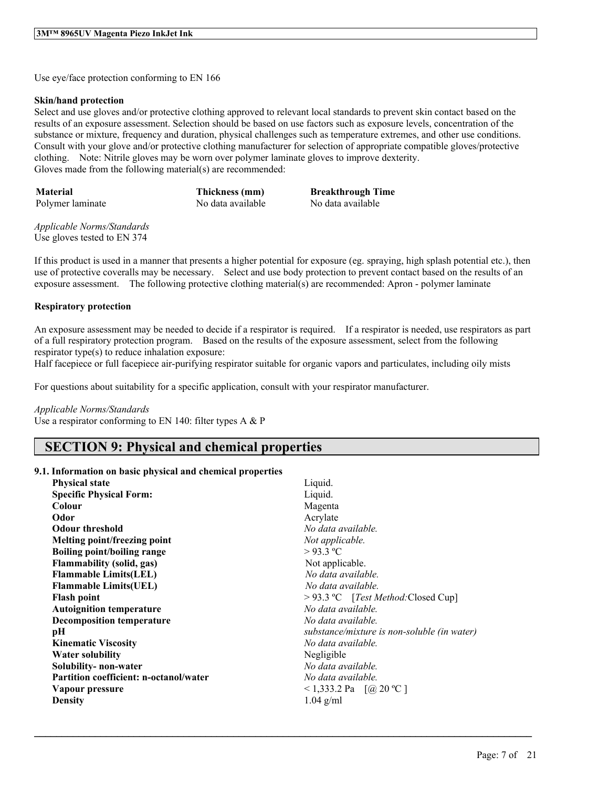Use eye/face protection conforming to EN 166

#### **Skin/hand protection**

Select and use gloves and/or protective clothing approved to relevant local standards to prevent skin contact based on the results of an exposure assessment. Selection should be based on use factors such as exposure levels, concentration of the substance or mixture, frequency and duration, physical challenges such as temperature extremes, and other use conditions. Consult with your glove and/or protective clothing manufacturer for selection of appropriate compatible gloves/protective clothing. Note: Nitrile gloves may be worn over polymer laminate gloves to improve dexterity. Gloves made from the following material(s) are recommended:

**Material Thickness (mm) Breakthrough Time**

Polymer laminate No data available No data available

*Applicable Norms/Standards* Use gloves tested to EN 374

If this product is used in a manner that presents a higher potential for exposure (eg. spraying, high splash potential etc.), then use of protective coveralls may be necessary. Select and use body protection to prevent contact based on the results of an exposure assessment. The following protective clothing material(s) are recommended: Apron - polymer laminate

### **Respiratory protection**

An exposure assessment may be needed to decide if a respirator is required. If a respirator is needed, use respirators as part of a full respiratory protection program. Based on the results of the exposure assessment, select from the following respirator type(s) to reduce inhalation exposure:

Half facepiece or full facepiece air-purifying respirator suitable for organic vapors and particulates, including oily mists

For questions about suitability for a specific application, consult with your respirator manufacturer.

#### *Applicable Norms/Standards*

Use a respirator conforming to EN 140: filter types  $A \& P$ 

## **SECTION 9: Physical and chemical properties**

#### **9.1. Information on basic physical and chemical properties**

| <b>Physical state</b>                         | Liquid.                                     |
|-----------------------------------------------|---------------------------------------------|
| <b>Specific Physical Form:</b>                | Liquid.                                     |
| Colour                                        | Magenta                                     |
| Odor                                          | Acrylate                                    |
| <b>Odour threshold</b>                        | No data available.                          |
| Melting point/freezing point                  | Not applicable.                             |
| <b>Boiling point/boiling range</b>            | $>93.3$ °C                                  |
| Flammability (solid, gas)                     | Not applicable.                             |
| <b>Flammable Limits(LEL)</b>                  | No data available.                          |
| <b>Flammable Limits(UEL)</b>                  | No data available.                          |
| <b>Flash point</b>                            | $>$ 93.3 °C [Test Method: Closed Cup]       |
| <b>Autoignition temperature</b>               | No data available.                          |
| <b>Decomposition temperature</b>              | No data available.                          |
| pН                                            | substance/mixture is non-soluble (in water) |
| <b>Kinematic Viscosity</b>                    | No data available.                          |
| Water solubility                              | Negligible                                  |
| Solubility-non-water                          | No data available.                          |
| <b>Partition coefficient: n-octanol/water</b> | No data available.                          |
| Vapour pressure                               | <1,333.2 Pa $[@ 20 °C]$                     |
| <b>Density</b>                                | $1.04$ g/ml                                 |
|                                               |                                             |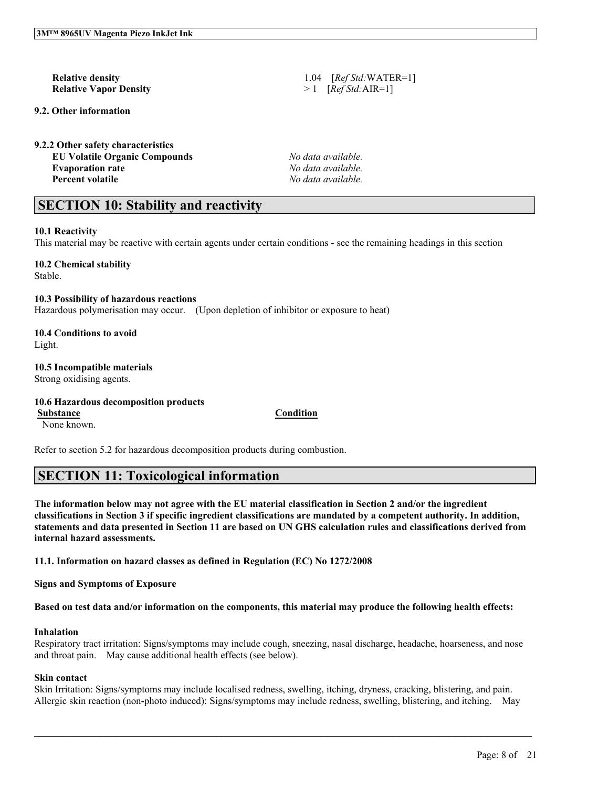# **Relative Vapor Density** > 1 [*Ref Std:*AIR=1]

#### **9.2. Other information**

**9.2.2 Other safety characteristics EU Volatile Organic Compounds** *No data available.* **Evaporation rate** *No data available.*

**Relative density** 1.04 [*Ref Std:*WATER=1]

**Percent volatile** *No data available.*

## **SECTION 10: Stability and reactivity**

#### **10.1 Reactivity**

This material may be reactive with certain agents under certain conditions - see the remaining headings in this section

#### **10.2 Chemical stability**

Stable.

**10.3 Possibility of hazardous reactions** Hazardous polymerisation may occur. (Upon depletion of inhibitor or exposure to heat)

#### **10.4 Conditions to avoid** Light.

**10.5 Incompatible materials**

Strong oxidising agents.

### **10.6 Hazardous decomposition products Substance Condition**

None known.

Refer to section 5.2 for hazardous decomposition products during combustion.

## **SECTION 11: Toxicological information**

The information below may not agree with the EU material classification in Section 2 and/or the ingredient classifications in Section 3 if specific ingredient classifications are mandated by a competent authority. In addition, statements and data presented in Section 11 are based on UN GHS calculation rules and classifications derived from **internal hazard assessments.**

**11.1. Information on hazard classes as defined in Regulation (EC) No 1272/2008**

**Signs and Symptoms of Exposure**

Based on test data and/or information on the components, this material may produce the following health effects:

#### **Inhalation**

Respiratory tract irritation: Signs/symptoms may include cough, sneezing, nasal discharge, headache, hoarseness, and nose and throat pain. May cause additional health effects (see below).

### **Skin contact**

Skin Irritation: Signs/symptoms may include localised redness, swelling, itching, dryness, cracking, blistering, and pain. Allergic skin reaction (non-photo induced): Signs/symptoms may include redness, swelling, blistering, and itching. May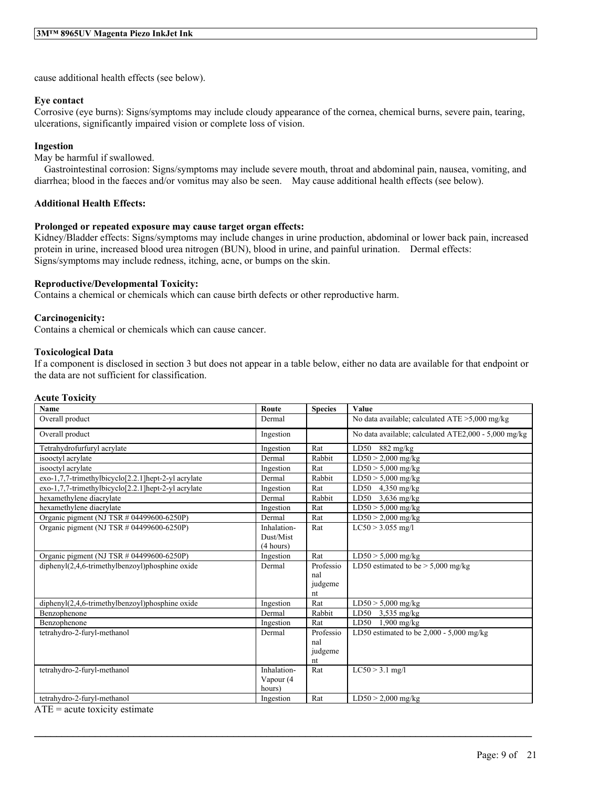cause additional health effects (see below).

#### **Eye contact**

Corrosive (eye burns): Signs/symptoms may include cloudy appearance of the cornea, chemical burns, severe pain, tearing, ulcerations, significantly impaired vision or complete loss of vision.

### **Ingestion**

May be harmful if swallowed.

Gastrointestinal corrosion: Signs/symptoms may include severe mouth, throat and abdominal pain, nausea, vomiting, and diarrhea; blood in the faeces and/or vomitus may also be seen. May cause additional health effects (see below).

### **Additional Health Effects:**

### **Prolonged or repeated exposure may cause target organ effects:**

Kidney/Bladder effects: Signs/symptoms may include changes in urine production, abdominal or lower back pain, increased protein in urine, increased blood urea nitrogen (BUN), blood in urine, and painful urination. Dermal effects: Signs/symptoms may include redness, itching, acne, or bumps on the skin.

#### **Reproductive/Developmental Toxicity:**

Contains a chemical or chemicals which can cause birth defects or other reproductive harm.

#### **Carcinogenicity:**

Contains a chemical or chemicals which can cause cancer.

#### **Toxicological Data**

If a component is disclosed in section 3 but does not appear in a table below, either no data are available for that endpoint or the data are not sufficient for classification.

#### **Acute Toxicity**

| <b>Name</b>                                          | Route                  | <b>Species</b> | Value                                                |
|------------------------------------------------------|------------------------|----------------|------------------------------------------------------|
| Overall product                                      | Dermal                 |                | No data available; calculated ATE >5,000 mg/kg       |
| Overall product                                      | Ingestion              |                | No data available; calculated ATE2,000 - 5,000 mg/kg |
| Tetrahydrofurfuryl acrylate                          | Ingestion              | Rat            | LD50<br>$882 \text{ mg/kg}$                          |
| isooctyl acrylate                                    | Dermal                 | Rabbit         | $LD50 > 2,000$ mg/kg                                 |
| isooctyl acrylate                                    | Ingestion              | Rat            | $LD50 > 5,000$ mg/kg                                 |
| exo-1,7,7-trimethylbicyclo[2.2.1] hept-2-yl acrylate | Dermal                 | Rabbit         | $LD50 > 5,000$ mg/kg                                 |
| exo-1,7,7-trimethylbicyclo[2.2.1]hept-2-yl acrylate  | Ingestion              | Rat            | LD50<br>$4,350$ mg/kg                                |
| hexamethylene diacrylate                             | Dermal                 | Rabbit         | $LD50$ 3.636 mg/kg                                   |
| hexamethylene diacrylate                             | Ingestion              | Rat            | $\overline{\text{LD50}} > 5,000 \text{ mg/kg}$       |
| Organic pigment (NJ TSR $\#$ 04499600-6250P)         | Dermal                 | Rat            | $LD50 > 2,000$ mg/kg                                 |
| Organic pigment (NJ TSR # 04499600-6250P)            | Inhalation-            | Rat            | $LC50 > 3.055$ mg/l                                  |
|                                                      | Dust/Mist<br>(4 hours) |                |                                                      |
| Organic pigment (NJ TSR # 04499600-6250P)            | Ingestion              | Rat            | $LD50 > 5,000$ mg/kg                                 |
| $dipheny I(2,4,6-trimethylbenzov1)phosphine oxide$   | Dermal                 | Professio      | LD50 estimated to be $> 5,000$ mg/kg                 |
|                                                      |                        | nal            |                                                      |
|                                                      |                        | judgeme        |                                                      |
|                                                      |                        | nt             |                                                      |
| diphenyl(2,4,6-trimethylbenzoyl)phosphine oxide      | Ingestion              | Rat            | $LD50 > 5,000$ mg/kg                                 |
| Benzophenone                                         | Dermal                 | Rabbit         | LD50<br>$3,535$ mg/kg                                |
| Benzophenone                                         | Ingestion              | Rat            | $1,900$ mg/kg<br>LD50                                |
| tetrahydro-2-furyl-methanol                          | Dermal                 | Professio      | LD50 estimated to be $2,000 - 5,000$ mg/kg           |
|                                                      |                        | nal            |                                                      |
|                                                      |                        | judgeme        |                                                      |
|                                                      |                        | nt             |                                                      |
| tetrahydro-2-furyl-methanol                          | Inhalation-            | Rat            | $LC50 > 3.1$ mg/l                                    |
|                                                      | Vapour (4              |                |                                                      |
|                                                      | hours)                 |                |                                                      |
| tetrahydro-2-furyl-methanol                          | Ingestion              | Rat            | $LD50 > 2,000$ mg/kg                                 |

 $\mathcal{L}_\mathcal{L} = \mathcal{L}_\mathcal{L} = \mathcal{L}_\mathcal{L} = \mathcal{L}_\mathcal{L} = \mathcal{L}_\mathcal{L} = \mathcal{L}_\mathcal{L} = \mathcal{L}_\mathcal{L} = \mathcal{L}_\mathcal{L} = \mathcal{L}_\mathcal{L} = \mathcal{L}_\mathcal{L} = \mathcal{L}_\mathcal{L} = \mathcal{L}_\mathcal{L} = \mathcal{L}_\mathcal{L} = \mathcal{L}_\mathcal{L} = \mathcal{L}_\mathcal{L} = \mathcal{L}_\mathcal{L} = \mathcal{L}_\mathcal{L}$ 

 $ATE = acute$  toxicity estimate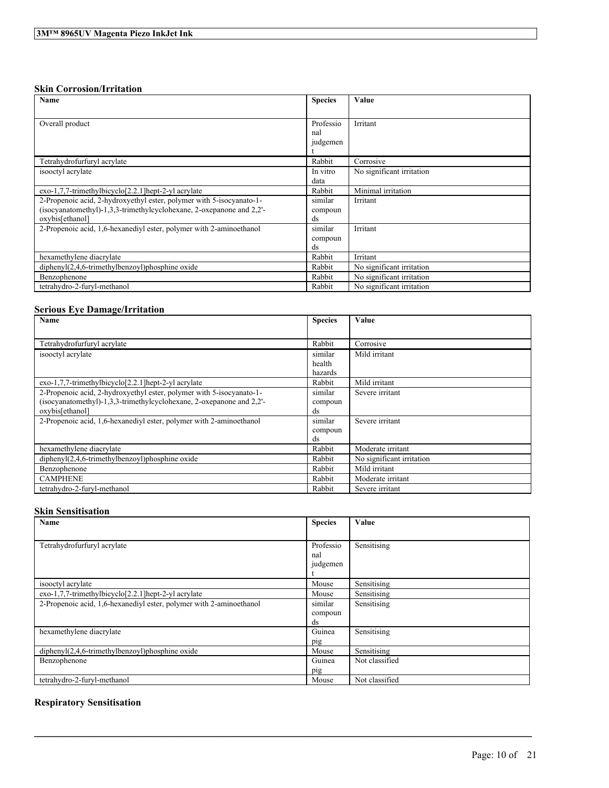### **Skin Corrosion/Irritation**

| Name                                                                 | <b>Species</b> | Value                     |
|----------------------------------------------------------------------|----------------|---------------------------|
|                                                                      |                |                           |
| Overall product                                                      | Professio      | Irritant                  |
|                                                                      | nal            |                           |
|                                                                      | judgemen       |                           |
|                                                                      |                |                           |
| Tetrahydrofurfuryl acrylate                                          | Rabbit         | Corrosive                 |
| isooctyl acrylate                                                    | In vitro       | No significant irritation |
|                                                                      | data           |                           |
| exo-1,7,7-trimethylbicyclo[2.2.1] hept-2-yl acrylate                 | Rabbit         | Minimal irritation        |
| 2-Propenoic acid, 2-hydroxyethyl ester, polymer with 5-isocyanato-1- | similar        | Irritant                  |
| (isocyanatomethyl)-1,3,3-trimethylcyclohexane, 2-oxepanone and 2,2'- | compoun        |                           |
| oxybis[ethanol]                                                      | ds             |                           |
| 2-Propenoic acid, 1.6-hexanedivl ester, polymer with 2-aminoethanol  | similar        | Irritant                  |
|                                                                      | compoun        |                           |
|                                                                      | ds             |                           |
| hexamethylene diacrylate                                             | Rabbit         | Irritant                  |
| $diphenyl(2,4,6-trimethylbenzoyl)phosphine oxide$                    | Rabbit         | No significant irritation |
| Benzophenone                                                         | Rabbit         | No significant irritation |
| tetrahydro-2-furyl-methanol                                          | Rabbit         | No significant irritation |

### **Serious Eye Damage/Irritation**

| Name                                                                 | <b>Species</b> | Value                     |
|----------------------------------------------------------------------|----------------|---------------------------|
|                                                                      |                |                           |
| Tetrahydrofurfuryl acrylate                                          | Rabbit         | Corrosive                 |
| isooctyl acrylate                                                    | similar        | Mild irritant             |
|                                                                      | health         |                           |
|                                                                      | hazards        |                           |
| exo-1,7,7-trimethylbicyclo[2.2.1] hept-2-yl acrylate                 | Rabbit         | Mild irritant             |
| 2-Propenoic acid, 2-hydroxyethyl ester, polymer with 5-isocyanato-1- | similar        | Severe irritant           |
| (isocyanatomethyl)-1,3,3-trimethylcyclohexane, 2-oxepanone and 2,2'- | compoun        |                           |
| oxybis[ethanol]                                                      | ds             |                           |
| 2-Propenoic acid, 1.6-hexanedivl ester, polymer with 2-aminoethanol  | similar        | Severe irritant           |
|                                                                      | compoun        |                           |
|                                                                      | ds             |                           |
| hexamethylene diacrylate                                             | Rabbit         | Moderate irritant         |
| $diphenyl(2,4,6-trimethylbenzoyl)phosphine oxide$                    | Rabbit         | No significant irritation |
| Benzophenone                                                         | Rabbit         | Mild irritant             |
| <b>CAMPHENE</b>                                                      | Rabbit         | Moderate irritant         |
| tetrahydro-2-furyl-methanol                                          | Rabbit         | Severe irritant           |

### **Skin Sensitisation**

| Name                                                                | <b>Species</b>  | Value          |
|---------------------------------------------------------------------|-----------------|----------------|
|                                                                     |                 |                |
| Tetrahydrofurfuryl acrylate                                         | Professio       | Sensitising    |
|                                                                     | nal<br>judgemen |                |
|                                                                     |                 |                |
| isooctyl acrylate                                                   | Mouse           | Sensitising    |
| exo-1,7,7-trimethylbicyclo[2.2.1]hept-2-yl acrylate                 | Mouse           | Sensitising    |
| 2-Propenoic acid, 1,6-hexanediyl ester, polymer with 2-aminoethanol | similar         | Sensitising    |
|                                                                     | compoun         |                |
|                                                                     | ds              |                |
| hexamethylene diacrylate                                            | Guinea          | Sensitising    |
|                                                                     | pig             |                |
| $dipheny I(2,4,6-trimethylbenzoyl)phosphine oxide$                  | Mouse           | Sensitising    |
| Benzophenone                                                        | Guinea          | Not classified |
|                                                                     | pig             |                |
| tetrahydro-2-furyl-methanol                                         | Mouse           | Not classified |

 $\mathcal{L}_\mathcal{L} = \mathcal{L}_\mathcal{L} = \mathcal{L}_\mathcal{L} = \mathcal{L}_\mathcal{L} = \mathcal{L}_\mathcal{L} = \mathcal{L}_\mathcal{L} = \mathcal{L}_\mathcal{L} = \mathcal{L}_\mathcal{L} = \mathcal{L}_\mathcal{L} = \mathcal{L}_\mathcal{L} = \mathcal{L}_\mathcal{L} = \mathcal{L}_\mathcal{L} = \mathcal{L}_\mathcal{L} = \mathcal{L}_\mathcal{L} = \mathcal{L}_\mathcal{L} = \mathcal{L}_\mathcal{L} = \mathcal{L}_\mathcal{L}$ 

## **Respiratory Sensitisation**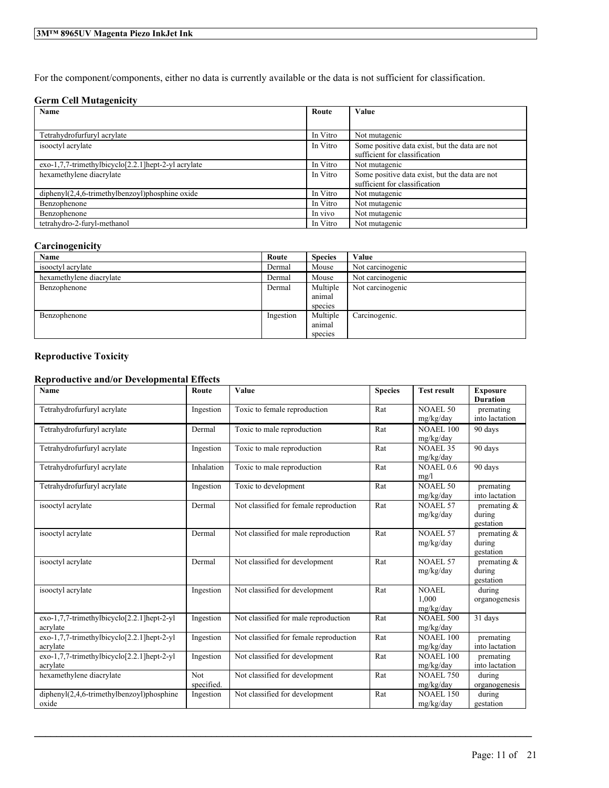For the component/components, either no data is currently available or the data is not sufficient for classification.

### **Germ Cell Mutagenicity**

| Name                                                       | Route    | Value                                                                           |
|------------------------------------------------------------|----------|---------------------------------------------------------------------------------|
|                                                            |          |                                                                                 |
| Tetrahydrofurfuryl acrylate                                | In Vitro | Not mutagenic                                                                   |
| isooctyl acrylate                                          | In Vitro | Some positive data exist, but the data are not<br>sufficient for classification |
| $exo-1,7,7-$ trimethylbicyclo $[2.2.1]$ hept-2-yl acrylate | In Vitro | Not mutagenic                                                                   |
| hexamethylene diacrylate                                   | In Vitro | Some positive data exist, but the data are not                                  |
|                                                            |          | sufficient for classification                                                   |
| $diphenyI(2,4,6-trimethylbenzoyl)phosphine oxide$          | In Vitro | Not mutagenic                                                                   |
| Benzophenone                                               | In Vitro | Not mutagenic                                                                   |
| Benzophenone                                               | In vivo  | Not mutagenic                                                                   |
| tetrahydro-2-furyl-methanol                                | In Vitro | Not mutagenic                                                                   |

### **Carcinogenicity**

| Name                     | Route     | <b>Species</b> | Value            |
|--------------------------|-----------|----------------|------------------|
| isooctyl acrylate        | Dermal    | Mouse          | Not carcinogenic |
| hexamethylene diacrylate | Dermal    | Mouse          | Not carcinogenic |
| Benzophenone             | Dermal    | Multiple       | Not carcinogenic |
|                          |           | animal         |                  |
|                          |           | species        |                  |
| Benzophenone             | Ingestion | Multiple       | Carcinogenic.    |
|                          |           | animal         |                  |
|                          |           | species        |                  |

### **Reproductive Toxicity**

### **Reproductive and/or Developmental Effects**

| Name                                                   | Route      | Value                                  | <b>Species</b> | <b>Test result</b>            | <b>Exposure</b>             |
|--------------------------------------------------------|------------|----------------------------------------|----------------|-------------------------------|-----------------------------|
| Tetrahydrofurfuryl acrylate                            |            |                                        | Rat            | <b>NOAEL 50</b>               | <b>Duration</b>             |
|                                                        | Ingestion  | Toxic to female reproduction           |                | mg/kg/day                     | premating<br>into lactation |
| Tetrahydrofurfuryl acrylate                            |            |                                        | Rat            | <b>NOAEL 100</b>              | 90 days                     |
|                                                        | Dermal     | Toxic to male reproduction             |                |                               |                             |
| Tetrahydrofurfuryl acrylate                            | Ingestion  | Toxic to male reproduction             | Rat            | mg/kg/day<br><b>NOAEL 35</b>  | 90 days                     |
|                                                        |            |                                        |                | mg/kg/day                     |                             |
| Tetrahydrofurfuryl acrylate                            | Inhalation | Toxic to male reproduction             | Rat            | NOAEL 0.6                     | 90 days                     |
|                                                        |            |                                        |                | mg/l                          |                             |
| Tetrahydrofurfuryl acrylate                            | Ingestion  | Toxic to development                   | Rat            | NOAEL 50                      | premating                   |
|                                                        |            |                                        |                | mg/kg/day                     | into lactation              |
| isooctyl acrylate                                      | Dermal     | Not classified for female reproduction | Rat            | NOAEL 57                      | premating $\&$              |
|                                                        |            |                                        |                | mg/kg/day                     | during                      |
|                                                        |            |                                        |                |                               | gestation                   |
| isooctyl acrylate                                      | Dermal     | Not classified for male reproduction   | Rat            | NOAEL 57                      | premating $\&$              |
|                                                        |            |                                        |                | mg/kg/day                     | during                      |
|                                                        |            |                                        |                |                               | gestation                   |
| isooctyl acrylate                                      | Dermal     | Not classified for development         | Rat            | NOAEL 57                      | premating &                 |
|                                                        |            |                                        |                | mg/kg/day                     | during                      |
|                                                        |            |                                        |                |                               | gestation                   |
| isooctyl acrylate                                      | Ingestion  | Not classified for development         | Rat            | NOAEL                         | during                      |
|                                                        |            |                                        |                | 1.000                         | organogenesis               |
|                                                        |            |                                        |                | mg/kg/day                     |                             |
| exo-1,7,7-trimethylbicyclo[2.2.1]hept-2-yl             | Ingestion  | Not classified for male reproduction   | Rat            | <b>NOAEL 500</b>              | 31 days                     |
| acrylate<br>exo-1,7,7-trimethylbicyclo[2.2.1]hept-2-yl | Ingestion  | Not classified for female reproduction | Rat            | mg/kg/day<br><b>NOAEL 100</b> | premating                   |
| acrylate                                               |            |                                        |                | mg/kg/day                     | into lactation              |
| exo-1,7,7-trimethylbicyclo[2.2.1]hept-2-yl             | Ingestion  | Not classified for development         | Rat            | <b>NOAEL 100</b>              | premating                   |
| acrylate                                               |            |                                        |                | mg/kg/day                     | into lactation              |
| hexamethylene diacrylate                               | <b>Not</b> | Not classified for development         | Rat            | <b>NOAEL 750</b>              | during                      |
|                                                        | specified. |                                        |                | mg/kg/day                     | organogenesis               |
| diphenyl(2,4,6-trimethylbenzoyl)phosphine              | Ingestion  | Not classified for development         | Rat            | <b>NOAEL 150</b>              | during                      |
| oxide                                                  |            |                                        |                | mg/kg/day                     | gestation                   |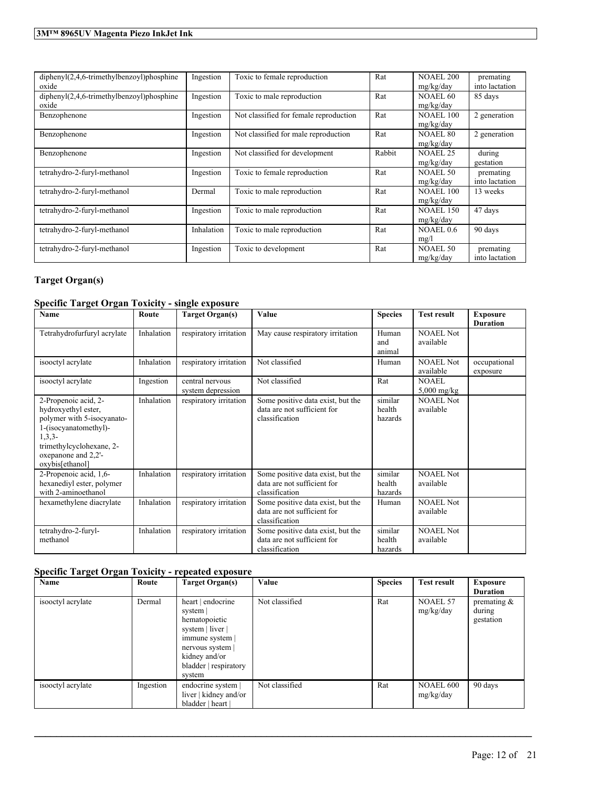| $dipheny I(2,4,6-trimethylbenzoyl)phosphine$<br>oxide | Ingestion  | Toxic to female reproduction           | Rat    | <b>NOAEL 200</b><br>mg/kg/day | premating<br>into lactation |
|-------------------------------------------------------|------------|----------------------------------------|--------|-------------------------------|-----------------------------|
| $dipheny I(2,4,6-trimethylbenzoyl)phosphine$<br>oxide | Ingestion  | Toxic to male reproduction             | Rat    | NOAEL.60<br>mg/kg/day         | 85 days                     |
| Benzophenone                                          | Ingestion  | Not classified for female reproduction | Rat    | <b>NOAEL 100</b><br>mg/kg/day | 2 generation                |
| Benzophenone                                          | Ingestion  | Not classified for male reproduction   | Rat    | NOAEL 80<br>mg/kg/day         | 2 generation                |
| Benzophenone                                          | Ingestion  | Not classified for development         | Rabbit | <b>NOAEL 25</b><br>mg/kg/day  | during<br>gestation         |
| tetrahydro-2-furyl-methanol                           | Ingestion  | Toxic to female reproduction           | Rat    | NOAEL 50<br>mg/kg/day         | premating<br>into lactation |
| tetrahydro-2-furyl-methanol                           | Dermal     | Toxic to male reproduction             | Rat    | <b>NOAEL 100</b><br>mg/kg/day | 13 weeks                    |
| tetrahydro-2-furyl-methanol                           | Ingestion  | Toxic to male reproduction             | Rat    | <b>NOAEL 150</b><br>mg/kg/day | 47 days                     |
| tetrahydro-2-furyl-methanol                           | Inhalation | Toxic to male reproduction             | Rat    | NOAEL $0.6$<br>mg/l           | 90 days                     |
| tetrahydro-2-furyl-methanol                           | Ingestion  | Toxic to development                   | Rat    | <b>NOAEL 50</b><br>mg/kg/day  | premating<br>into lactation |

## **Target Organ(s)**

### **Specific Target Organ Toxicity - single exposure**

| Name                                                                                                                                                                                 | Route      | <b>Target Organ(s)</b>               | Value                                                                              | <b>Species</b>               | <b>Test result</b>            | <b>Exposure</b><br><b>Duration</b> |
|--------------------------------------------------------------------------------------------------------------------------------------------------------------------------------------|------------|--------------------------------------|------------------------------------------------------------------------------------|------------------------------|-------------------------------|------------------------------------|
| Tetrahydrofurfuryl acrylate                                                                                                                                                          | Inhalation | respiratory irritation               | May cause respiratory irritation                                                   | Human<br>and<br>animal       | <b>NOAEL Not</b><br>available |                                    |
| isooctyl acrylate                                                                                                                                                                    | Inhalation | respiratory irritation               | Not classified                                                                     | Human                        | <b>NOAEL Not</b><br>available | occupational<br>exposure           |
| isooctyl acrylate                                                                                                                                                                    | Ingestion  | central nervous<br>system depression | Not classified                                                                     | Rat                          | <b>NOAEL</b><br>$5,000$ mg/kg |                                    |
| 2-Propenoic acid, 2-<br>hydroxyethyl ester,<br>polymer with 5-isocyanato-<br>1-(isocyanatomethyl)-<br>$1,3,3-$<br>trimethylcyclohexane, 2-<br>oxepanone and 2,2'-<br>oxybis[ethanol] | Inhalation | respiratory irritation               | Some positive data exist, but the<br>data are not sufficient for<br>classification | similar<br>health<br>hazards | <b>NOAEL Not</b><br>available |                                    |
| 2-Propenoic acid, 1,6-<br>hexanediyl ester, polymer<br>with 2-aminoethanol                                                                                                           | Inhalation | respiratory irritation               | Some positive data exist, but the<br>data are not sufficient for<br>classification | similar<br>health<br>hazards | NOAEL Not<br>available        |                                    |
| hexamethylene diacrylate                                                                                                                                                             | Inhalation | respiratory irritation               | Some positive data exist, but the<br>data are not sufficient for<br>classification | Human                        | <b>NOAEL Not</b><br>available |                                    |
| tetrahydro-2-furyl-<br>methanol                                                                                                                                                      | Inhalation | respiratory irritation               | Some positive data exist, but the<br>data are not sufficient for<br>classification | similar<br>health<br>hazards | <b>NOAEL Not</b><br>available |                                    |

## **Specific Target Organ Toxicity - repeated exposure**

| Name              | Route     | Target Organ(s)                                                                                                                                           | Value          | <b>Species</b> | <b>Test result</b>     | <b>Exposure</b><br><b>Duration</b>    |
|-------------------|-----------|-----------------------------------------------------------------------------------------------------------------------------------------------------------|----------------|----------------|------------------------|---------------------------------------|
| isooctyl acrylate | Dermal    | heart   endocrine<br>system<br>hematopoietic<br>system   liver  <br>immune system  <br>nervous system<br>kidney and/or<br>bladder   respiratory<br>system | Not classified | Rat            | NOAEL 57<br>mg/kg/day  | premating $\&$<br>during<br>gestation |
| isooctyl acrylate | Ingestion | endocrine system  <br>liver   kidney and/or<br>bladder   heart                                                                                            | Not classified | Rat            | NOAEL 600<br>mg/kg/day | 90 days                               |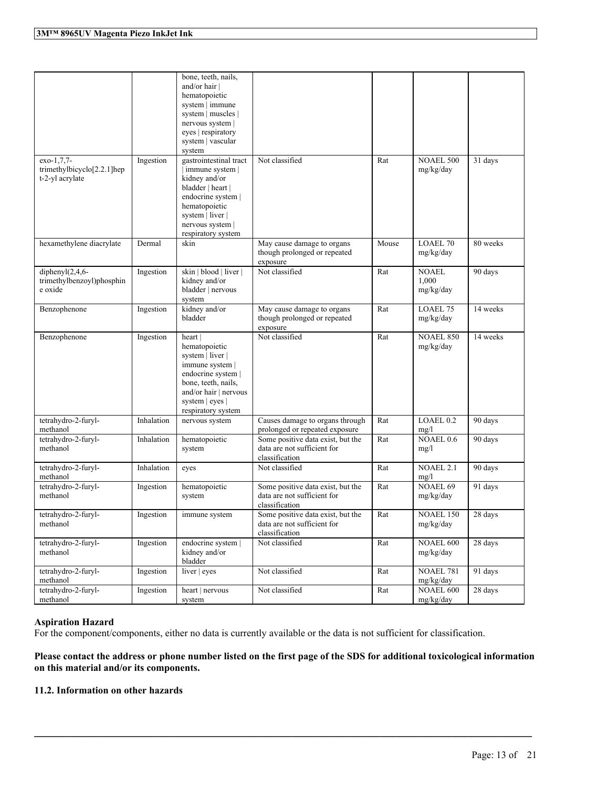| exo-1,7,7-                                                 | Ingestion  | bone, teeth, nails,<br>and/or hair  <br>hematopoietic<br>system   immune<br>system   muscles  <br>nervous system  <br>eyes   respiratory<br>system   vascular<br>system<br>gastrointestinal tract | Not classified                                                                     | Rat   | <b>NOAEL 500</b>                   | 31 days              |
|------------------------------------------------------------|------------|---------------------------------------------------------------------------------------------------------------------------------------------------------------------------------------------------|------------------------------------------------------------------------------------|-------|------------------------------------|----------------------|
| trimethylbicyclo[2.2.1]hep<br>t-2-yl acrylate              |            | immune system  <br>kidney and/or<br>bladder   heart  <br>endocrine system  <br>hematopoietic<br>system   liver  <br>nervous system<br>respiratory system                                          |                                                                                    |       | mg/kg/day                          |                      |
| hexamethylene diacrylate                                   | Dermal     | skin                                                                                                                                                                                              | May cause damage to organs<br>though prolonged or repeated<br>exposure             | Mouse | <b>LOAEL 70</b><br>mg/kg/day       | 80 weeks             |
| diphenyl $(2,4,6-$<br>trimethylbenzoyl)phosphin<br>e oxide | Ingestion  | skin   blood   liver  <br>kidney and/or<br>bladder   nervous<br>system                                                                                                                            | Not classified                                                                     | Rat   | <b>NOAEL</b><br>1,000<br>mg/kg/day | 90 days              |
| Benzophenone                                               | Ingestion  | kidney and/or<br>bladder                                                                                                                                                                          | May cause damage to organs<br>though prolonged or repeated<br>exposure             | Rat   | LOAEL 75<br>mg/kg/day              | 14 weeks             |
| Benzophenone                                               | Ingestion  | heart  <br>hematopoietic<br>system   liver  <br>immune system  <br>endocrine system  <br>bone, teeth, nails,<br>and/or hair   nervous<br>system   eyes  <br>respiratory system                    | Not classified                                                                     | Rat   | <b>NOAEL 850</b><br>mg/kg/day      | 14 weeks             |
| tetrahydro-2-furyl-<br>methanol                            | Inhalation | nervous system                                                                                                                                                                                    | Causes damage to organs through<br>prolonged or repeated exposure                  | Rat   | LOAEL <sub>0.2</sub><br>mg/l       | 90 days              |
| tetrahydro-2-furyl-<br>methanol                            | Inhalation | hematopoietic<br>system                                                                                                                                                                           | Some positive data exist, but the<br>data are not sufficient for<br>classification | Rat   | NOAEL 0.6<br>mg/l                  | 90 days              |
| tetrahydro-2-furyl-<br>methanol                            | Inhalation | eyes                                                                                                                                                                                              | Not classified                                                                     | Rat   | NOAEL 2.1<br>mg/l                  | 90 days              |
| tetrahydro-2-furyl-<br>methanol                            | Ingestion  | hematopoietic<br>system                                                                                                                                                                           | Some positive data exist, but the<br>data are not sufficient for<br>classification | Rat   | <b>NOAEL 69</b><br>mg/kg/day       | 91 days              |
| tetrahydro-2-furyl-<br>methanol                            | Ingestion  | immune system                                                                                                                                                                                     | Some positive data exist, but the<br>data are not sufficient for<br>classification | Rat   | <b>NOAEL 150</b><br>mg/kg/day      | $\overline{28}$ days |
| tetrahydro-2-furyl-<br>methanol                            | Ingestion  | endocrine system<br>kidney and/or<br>bladder                                                                                                                                                      | Not classified                                                                     | Rat   | NOAEL 600<br>mg/kg/day             | 28 days              |
| tetrahydro-2-furyl-<br>methanol                            | Ingestion  | liver   eyes                                                                                                                                                                                      | Not classified                                                                     | Rat   | <b>NOAEL 781</b><br>mg/kg/day      | 91 days              |
| tetrahydro-2-furyl-<br>methanol                            | Ingestion  | heart   nervous<br>system                                                                                                                                                                         | Not classified                                                                     | Rat   | NOAEL 600<br>mg/kg/day             | 28 days              |

### **Aspiration Hazard**

For the component/components, either no data is currently available or the data is not sufficient for classification.

### Please contact the address or phone number listed on the first page of the SDS for additional toxicological information **on this material and/or its components.**

 $\mathcal{L}_\mathcal{L} = \mathcal{L}_\mathcal{L} = \mathcal{L}_\mathcal{L} = \mathcal{L}_\mathcal{L} = \mathcal{L}_\mathcal{L} = \mathcal{L}_\mathcal{L} = \mathcal{L}_\mathcal{L} = \mathcal{L}_\mathcal{L} = \mathcal{L}_\mathcal{L} = \mathcal{L}_\mathcal{L} = \mathcal{L}_\mathcal{L} = \mathcal{L}_\mathcal{L} = \mathcal{L}_\mathcal{L} = \mathcal{L}_\mathcal{L} = \mathcal{L}_\mathcal{L} = \mathcal{L}_\mathcal{L} = \mathcal{L}_\mathcal{L}$ 

### **11.2. Information on other hazards**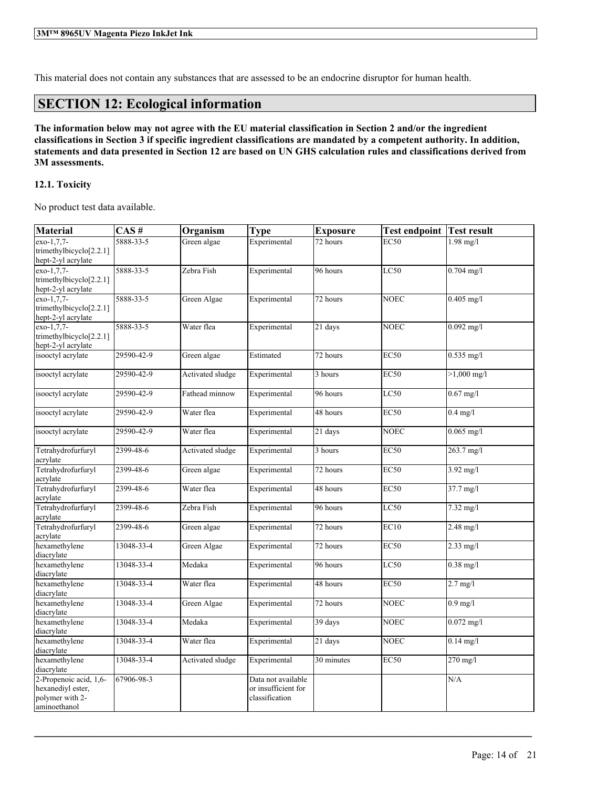This material does not contain any substances that are assessed to be an endocrine disruptor for human health.

## **SECTION 12: Ecological information**

The information below may not agree with the EU material classification in Section 2 and/or the ingredient classifications in Section 3 if specific ingredient classifications are mandated by a competent authority. In addition, statements and data presented in Section 12 are based on UN GHS calculation rules and classifications derived from **3M assessments.**

### **12.1. Toxicity**

No product test data available.

| <b>Material</b>                               | CAS#       | Organism         | <b>Type</b>         | <b>Exposure</b> | <b>Test endpoint Test result</b> |                       |
|-----------------------------------------------|------------|------------------|---------------------|-----------------|----------------------------------|-----------------------|
| $\overline{exo-1,7,7-}$                       | 5888-33-5  | Green algae      | Experimental        | 72 hours        | $\overline{EC50}$                | $1.98$ mg/l           |
| trimethylbicyclo <sup>[2.2.1]</sup>           |            |                  |                     |                 |                                  |                       |
| hept-2-yl acrylate                            |            |                  |                     |                 |                                  |                       |
| exo-1,7,7-                                    | 5888-33-5  | Zebra Fish       | Experimental        | 96 hours        | LC50                             | $0.704$ mg/l          |
| trimethylbicyclo[2.2.1]<br>hept-2-yl acrylate |            |                  |                     |                 |                                  |                       |
| $\overline{exo-1,7,7}$ -                      | 5888-33-5  | Green Algae      | Experimental        | 72 hours        | <b>NOEC</b>                      | $0.405$ mg/l          |
| trimethylbicyclo $[2.2.1]$                    |            |                  |                     |                 |                                  |                       |
| hept-2-yl acrylate                            |            |                  |                     |                 |                                  |                       |
| exo-1,7,7-                                    | 5888-33-5  | Water flea       | Experimental        | 21 days         | <b>NOEC</b>                      | $0.092$ mg/l          |
| trimethylbicyclo[2.2.1]                       |            |                  |                     |                 |                                  |                       |
| hept-2-yl acrylate                            |            |                  |                     |                 |                                  |                       |
| isooctyl acrylate                             | 29590-42-9 | Green algae      | Estimated           | 72 hours        | EC50                             | 0.535 mg/l            |
| isooctyl acrylate                             | 29590-42-9 | Activated sludge | Experimental        | 3 hours         | <b>EC50</b>                      | $>1,000 \text{ mg/l}$ |
| isooctyl acrylate                             | 29590-42-9 | Fathead minnow   | Experimental        | 96 hours        | LC50                             | $0.67$ mg/l           |
|                                               |            |                  |                     |                 |                                  |                       |
| isooctyl acrylate                             | 29590-42-9 | Water flea       | Experimental        | 48 hours        | EC50                             | $0.4$ mg/l            |
| isooctyl acrylate                             | 29590-42-9 | Water flea       | Experimental        | 21 days         | <b>NOEC</b>                      | $0.065$ mg/l          |
| Tetrahydrofurfuryl                            | 2399-48-6  | Activated sludge | Experimental        | 3 hours         | EC50                             | 263.7 mg/l            |
| acrylate                                      |            |                  |                     |                 |                                  |                       |
| Tetrahydrofurfuryl                            | 2399-48-6  | Green algae      | Experimental        | 72 hours        | <b>EC50</b>                      | 3.92 mg/l             |
| acrylate                                      |            |                  |                     |                 |                                  |                       |
| Tetrahydrofurfuryl<br>acrylate                | 2399-48-6  | Water flea       | Experimental        | 48 hours        | EC50                             | 37.7 mg/l             |
| Tetrahydrofurfuryl                            | 2399-48-6  | Zebra Fish       | Experimental        | 96 hours        | LC50                             | $7.32$ mg/l           |
| acrylate                                      |            |                  |                     |                 |                                  |                       |
| Tetrahydrofurfuryl                            | 2399-48-6  | Green algae      | Experimental        | 72 hours        | EC10                             | $2.48$ mg/l           |
| acrylate                                      |            |                  |                     |                 |                                  |                       |
| hexamethylene                                 | 13048-33-4 | Green Algae      | Experimental        | 72 hours        | EC50                             | $2.33$ mg/l           |
| diacrylate                                    |            |                  |                     |                 |                                  |                       |
| hexamethylene                                 | 13048-33-4 | Medaka           | Experimental        | 96 hours        | LC50                             | $0.38$ mg/l           |
| diacrylate<br>hexamethylene                   |            |                  |                     |                 |                                  |                       |
| diacrylate                                    | 13048-33-4 | Water flea       | Experimental        | 48 hours        | <b>EC50</b>                      | $2.7$ mg/l            |
| hexamethylene                                 | 13048-33-4 | Green Algae      | Experimental        | 72 hours        | <b>NOEC</b>                      | $0.9$ mg/l            |
| diacrylate                                    |            |                  |                     |                 |                                  |                       |
| hexamethylene                                 | 13048-33-4 | Medaka           | Experimental        | 39 days         | <b>NOEC</b>                      | $0.072$ mg/l          |
| diacrylate                                    |            |                  |                     |                 |                                  |                       |
| hexamethylene<br>diacrylate                   | 13048-33-4 | Water flea       | Experimental        | 21 days         | <b>NOEC</b>                      | $0.14$ mg/l           |
| hexamethylene<br>diacrylate                   | 13048-33-4 | Activated sludge | Experimental        | 30 minutes      | <b>EC50</b>                      | $270$ mg/l            |
| 2-Propenoic acid, 1,6-                        | 67906-98-3 |                  | Data not available  |                 |                                  | N/A                   |
| hexanediyl ester,                             |            |                  | or insufficient for |                 |                                  |                       |
| polymer with 2-                               |            |                  | classification      |                 |                                  |                       |
| aminoethanol                                  |            |                  |                     |                 |                                  |                       |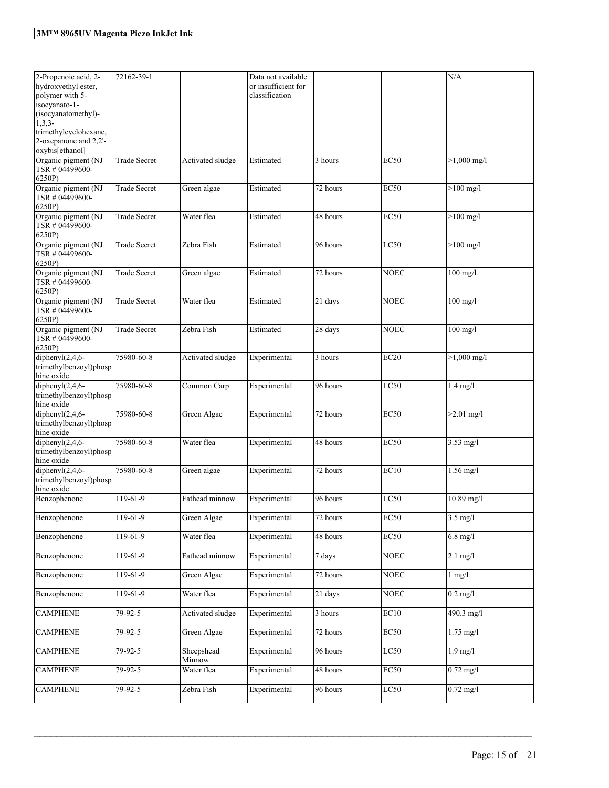| 2-Propenoic acid, 2-<br>hydroxyethyl ester,<br>polymer with 5-<br>isocyanato-1-<br>(isocyanatomethyl)-<br>$1,3,3-$<br>trimethylcyclohexane,<br>2-oxepanone and 2,2'-<br>oxybis[ethanol] | 72162-39-1          |                      | Data not available<br>or insufficient for<br>classification |                       |                  | N/A                           |
|-----------------------------------------------------------------------------------------------------------------------------------------------------------------------------------------|---------------------|----------------------|-------------------------------------------------------------|-----------------------|------------------|-------------------------------|
| Organic pigment (NJ<br>TSR # 04499600-<br>6250P)                                                                                                                                        | <b>Trade Secret</b> | Activated sludge     | Estimated                                                   | 3 hours               | <b>EC50</b>      | $>1,000$ mg/l                 |
| Organic pigment (NJ<br>TSR # 04499600-<br>6250P)                                                                                                                                        | <b>Trade Secret</b> | Green algae          | Estimated                                                   | 72 hours              | <b>EC50</b>      | $>100$ mg/l                   |
| Organic pigment (NJ<br>TSR # 04499600-<br>6250P)                                                                                                                                        | <b>Trade Secret</b> | Water flea           | Estimated                                                   | 48 hours              | <b>EC50</b>      | $>100$ mg/l                   |
| Organic pigment (NJ<br>TSR # 04499600-<br>6250P)                                                                                                                                        | <b>Trade Secret</b> | Zebra Fish           | Estimated                                                   | 96 hours              | LC50             | $>100$ mg/l                   |
| Organic pigment (NJ<br>TSR # 04499600-<br>6250P)                                                                                                                                        | <b>Trade Secret</b> | Green algae          | Estimated                                                   | 72 hours              | <b>NOEC</b>      | $100$ mg/l                    |
| Organic pigment (NJ<br>TSR #04499600-<br>6250P)                                                                                                                                         | <b>Trade Secret</b> | Water flea           | Estimated                                                   | 21 days               | <b>NOEC</b>      | $100$ mg/l                    |
| Organic pigment (NJ<br>TSR # 04499600-<br>6250P)                                                                                                                                        | <b>Trade Secret</b> | Zebra Fish           | Estimated                                                   | 28 days               | <b>NOEC</b>      | $100$ mg/l                    |
| diphenyl $(2,4,6$ -<br>trimethylbenzoyl)phosp<br>hine oxide                                                                                                                             | 75980-60-8          | Activated sludge     | Experimental                                                | 3 hours               | EC20             | $>1,000$ mg/l                 |
| diphenyl $(2,4,6-$<br>trimethylbenzoyl)phosp<br>hine oxide                                                                                                                              | 75980-60-8          | Common Carp          | Experimental                                                | 96 hours              | LC50             | $1.4$ mg/l                    |
| diphenyl $(2,4,6$ -<br>trimethylbenzoyl)phosp<br>hine oxide                                                                                                                             | 75980-60-8          | Green Algae          | Experimental                                                | $\overline{72}$ hours | <b>EC50</b>      | $>2.01$ mg/l                  |
| diphenyl $(2,4,6-$<br>trimethylbenzoyl)phosp<br>hine oxide                                                                                                                              | 75980-60-8          | Water flea           | Experimental                                                | $\overline{48}$ hours | <b>EC50</b>      | $3.53$ mg/l                   |
| diphenyl $(2,4,6$ -<br>trimethylbenzoyl)phosp<br>hine oxide                                                                                                                             | 75980-60-8          | Green algae          | Experimental                                                | 72 hours              | EC10             | $1.56$ mg/l                   |
| Benzophenone                                                                                                                                                                            | 119-61-9            | Fathead minnow       | Experimental                                                | 96 hours              | LC50             | 10.89 mg/l                    |
| Benzophenone                                                                                                                                                                            | 119-61-9            | Green Algae          | Experimental                                                | 72 hours              | EC <sub>50</sub> | $3.5 \text{ mg/l}$            |
| Benzophenone                                                                                                                                                                            | $119-61-9$          | Water flea           | Experimental                                                | 48 hours              | EC50             | $6.8$ mg/l                    |
| Benzophenone                                                                                                                                                                            | $119-61-9$          | Fathead minnow       | Experimental                                                | 7 days                | <b>NOEC</b>      | $2.1$ mg/l                    |
| Benzophenone                                                                                                                                                                            | $119-61-9$          | Green Algae          | Experimental                                                | 72 hours              | <b>NOEC</b>      | $1$ mg/ $1$                   |
| Benzophenone                                                                                                                                                                            | $119-61-9$          | Water flea           | Experimental                                                | 21 days               | <b>NOEC</b>      | $0.2 \text{ mg/l}$            |
| <b>CAMPHENE</b>                                                                                                                                                                         | 79-92-5             | Activated sludge     | Experimental                                                | 3 hours               | EC10             | $490.3$ mg/l                  |
| <b>CAMPHENE</b>                                                                                                                                                                         | 79-92-5             | Green Algae          | Experimental                                                | 72 hours              | EC50             | $1.75$ mg/l                   |
| <b>CAMPHENE</b>                                                                                                                                                                         | $79 - 92 - 5$       | Sheepshead<br>Minnow | Experimental                                                | 96 hours              | LC50             | $1.9$ mg/l                    |
| <b>CAMPHENE</b>                                                                                                                                                                         | $79-92-5$           | Water flea           | Experimental                                                | 48 hours              | EC50             | $0.72 \overline{\mathrm{mg}}$ |
| <b>CAMPHENE</b>                                                                                                                                                                         | $79 - 92 - 5$       | Zebra Fish           | Experimental                                                | 96 hours              | LC50             | $0.72$ mg/l                   |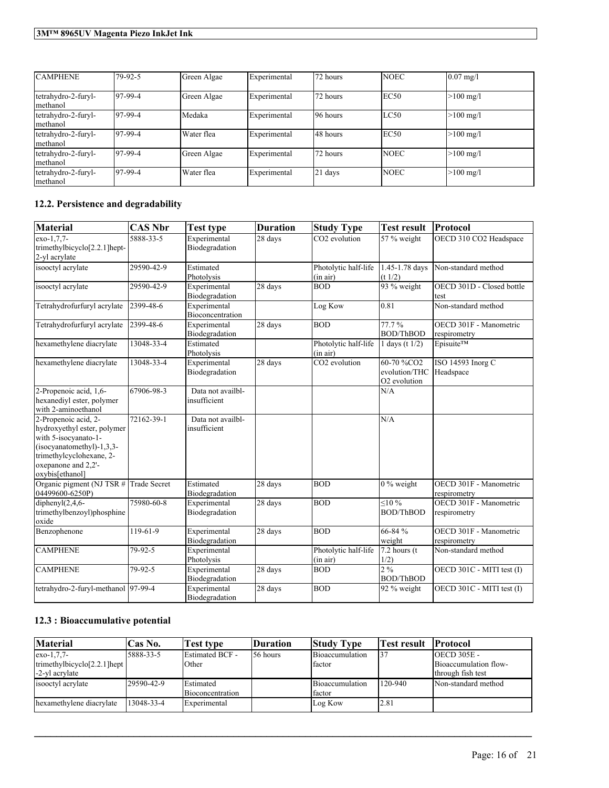| <b>CAMPHENE</b>                 | 79-92-5     | Green Algae | Experimental | 72 hours | <b>NOEC</b> | $0.07 \text{ mg}$ /l |
|---------------------------------|-------------|-------------|--------------|----------|-------------|----------------------|
| tetrahydro-2-furyl-<br>methanol | $ 97-99-4 $ | Green Algae | Experimental | 72 hours | EC50        | $>100 \text{ mg/l}$  |
| tetrahydro-2-furyl-<br>methanol | $ 97-99-4 $ | Medaka      | Experimental | 96 hours | LC50        | $>100 \text{ mg/l}$  |
| tetrahydro-2-furyl-<br>methanol | $ 97-99-4 $ | Water flea  | Experimental | 48 hours | EC50        | $>100 \text{ mg/l}$  |
| tetrahydro-2-furyl-<br>methanol | $ 97-99-4 $ | Green Algae | Experimental | 72 hours | <b>NOEC</b> | $>100 \text{ mg/l}$  |
| tetrahydro-2-furyl-<br>methanol | $ 97-99-4 $ | Water flea  | Experimental | 21 days  | <b>NOEC</b> | $>100 \text{ mg/l}$  |

## **12.2. Persistence and degradability**

| <b>Material</b>                                                                                                                                                                  | <b>CAS Nbr</b> | Test type                         | <b>Duration</b>      | <b>Study Type</b>                | <b>Test result</b>                                                  | Protocol                               |
|----------------------------------------------------------------------------------------------------------------------------------------------------------------------------------|----------------|-----------------------------------|----------------------|----------------------------------|---------------------------------------------------------------------|----------------------------------------|
| exo-1.7.7-<br>trimethylbicyclo <sup>[2.2.1]</sup> hept-<br>2-yl acrylate                                                                                                         | 5888-33-5      | Experimental<br>Biodegradation    | 28 days              | CO2 evolution                    | 57 % weight                                                         | OECD 310 CO2 Headspace                 |
| isooctyl acrylate                                                                                                                                                                | 29590-42-9     | Estimated<br>Photolysis           |                      | Photolytic half-life<br>(in air) | 1.45-1.78 days<br>(t 1/2)                                           | Non-standard method                    |
| isooctyl acrylate                                                                                                                                                                | 29590-42-9     | Experimental<br>Biodegradation    | 28 days              | <b>BOD</b>                       | 93 % weight                                                         | OECD 301D - Closed bottle<br>test      |
| Tetrahydrofurfuryl acrylate                                                                                                                                                      | 2399-48-6      | Experimental<br>Bioconcentration  |                      | Log Kow                          | 0.81                                                                | Non-standard method                    |
| Tetrahydrofurfuryl acrylate                                                                                                                                                      | 2399-48-6      | Experimental<br>Biodegradation    | 28 days              | <b>BOD</b>                       | 77.7%<br><b>BOD/ThBOD</b>                                           | OECD 301F - Manometric<br>respirometry |
| hexamethylene diacrylate                                                                                                                                                         | 13048-33-4     | Estimated<br>Photolysis           |                      | Photolytic half-life<br>(in air) | 1 days (t $1/2$ )                                                   | Episuite™                              |
| hexamethylene diacrylate                                                                                                                                                         | 13048-33-4     | Experimental<br>Biodegradation    | $28 \text{ days}$    | CO <sub>2</sub> evolution        | 60-70 %CO <sub>2</sub><br>evolution/THC<br>O <sub>2</sub> evolution | ISO 14593 Inorg C<br>Headspace         |
| 2-Propenoic acid, 1,6-<br>hexanediyl ester, polymer<br>with 2-aminoethanol                                                                                                       | 67906-98-3     | Data not availbl-<br>insufficient |                      |                                  | N/A                                                                 |                                        |
| 2-Propenoic acid, 2-<br>hydroxyethyl ester, polymer<br>with 5-isocyanato-1-<br>$(isocyanatomethyl)-1,3,3-$<br>trimethylcyclohexane, 2-<br>oxepanone and 2,2'-<br>oxybis[ethanol] | 72162-39-1     | Data not availbl-<br>insufficient |                      |                                  | N/A                                                                 |                                        |
| Organic pigment (NJ TSR # Trade Secret<br>04499600-6250P)                                                                                                                        |                | Estimated<br>Biodegradation       | $\sqrt{28}$ days     | <b>BOD</b>                       | $0\%$ weight                                                        | OECD 301F - Manometric<br>respirometry |
| diphenyl $(2,4,6-$<br>trimethylbenzoyl)phosphine<br>oxide                                                                                                                        | 75980-60-8     | Experimental<br>Biodegradation    | $\overline{28}$ days | <b>BOD</b>                       | $< 10\%$<br><b>BOD/ThBOD</b>                                        | OECD 301F - Manometric<br>respirometry |
| Benzophenone                                                                                                                                                                     | 119-61-9       | Experimental<br>Biodegradation    | 28 days              | <b>BOD</b>                       | 66-84 %<br>weight                                                   | OECD 301F - Manometric<br>respirometry |
| <b>CAMPHENE</b>                                                                                                                                                                  | 79-92-5        | Experimental<br>Photolysis        |                      | Photolytic half-life<br>(in air) | $7.2$ hours (t)<br>1/2)                                             | Non-standard method                    |
| <b>CAMPHENE</b>                                                                                                                                                                  | 79-92-5        | Experimental<br>Biodegradation    | 28 days              | <b>BOD</b>                       | 2%<br><b>BOD/ThBOD</b>                                              | OECD 301C - MITI test (I)              |
| tetrahydro-2-furyl-methanol 97-99-4                                                                                                                                              |                | Experimental<br>Biodegradation    | $\overline{28}$ days | <b>BOD</b>                       | 92 % weight                                                         | OECD 301C - MITI test (I)              |

## **12.3 : Bioaccumulative potential**

| <b>Material</b>                 | Cas No.    | <b>Test type</b>  | <b>Duration</b> | <b>Study Type</b> | <b>Test result IProtocol</b> |                       |
|---------------------------------|------------|-------------------|-----------------|-------------------|------------------------------|-----------------------|
| $exo-1.7.7-$                    | 5888-33-5  | Estimated BCF -   | 56 hours        | Bioaccumulation   | 137                          | $OECD$ 305E -         |
| trimethylbicyclo $[2.2.1]$ hept |            | Other             |                 | factor            |                              | Bioaccumulation flow- |
| -2-yl acrylate                  |            |                   |                 |                   |                              | through fish test     |
| isooctyl acrylate               | 29590-42-9 | <b>IEstimated</b> |                 | Bioaccumulation   | 120-940                      | Non-standard method   |
|                                 |            | Bioconcentration  |                 | factor            |                              |                       |
| hexamethylene diacrylate        | 13048-33-4 | Experimental      |                 | Log Kow           | 12.81                        |                       |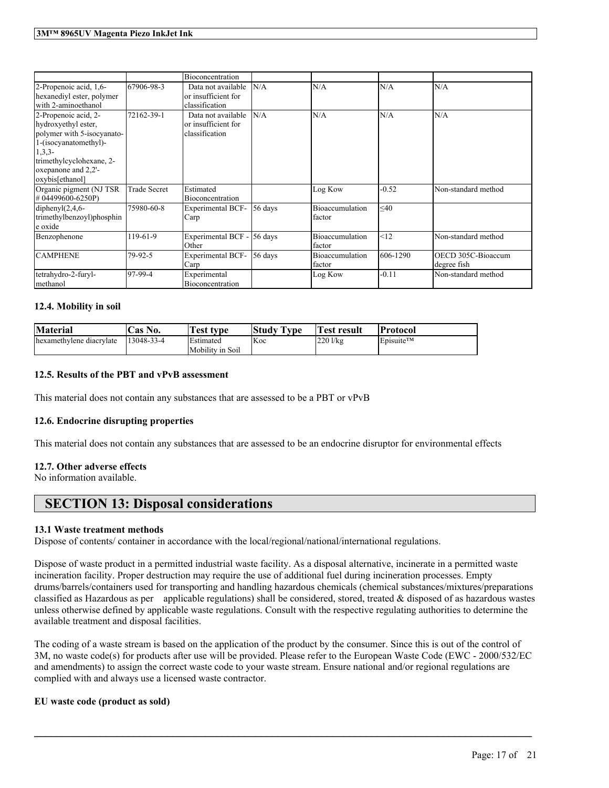|                                                                                                                                                                                      |                     | Bioconcentration                                            |           |                           |           |                                    |
|--------------------------------------------------------------------------------------------------------------------------------------------------------------------------------------|---------------------|-------------------------------------------------------------|-----------|---------------------------|-----------|------------------------------------|
| 2-Propenoic acid, 1,6-<br>hexanediyl ester, polymer<br>with 2-aminoethanol                                                                                                           | 67906-98-3          | Data not available<br>or insufficient for<br>classification | N/A       | N/A                       | N/A       | N/A                                |
| 2-Propenoic acid, 2-<br>hydroxyethyl ester,<br>polymer with 5-isocyanato-<br>1-(isocyanatomethyl)-<br>$1,3,3-$<br>trimethylcyclohexane, 2-<br>oxepanone and 2,2'-<br>oxybis[ethanol] | 72162-39-1          | Data not available<br>or insufficient for<br>classification | N/A       | N/A                       | N/A       | N/A                                |
| Organic pigment (NJ TSR)<br>#04499600-6250P)                                                                                                                                         | <b>Trade Secret</b> | Estimated<br>Bioconcentration                               |           | Log Kow                   | $-0.52$   | Non-standard method                |
| diphenyl $(2,4,6-$<br>trimethylbenzoyl)phosphin<br>e oxide                                                                                                                           | 75980-60-8          | <b>Experimental BCF-</b><br>Carp                            | 56 days   | Bioaccumulation<br>factor | $\leq 40$ |                                    |
| Benzophenone                                                                                                                                                                         | 119-61-9            | Experimental BCF -<br>Other                                 | $56$ days | Bioaccumulation<br>factor | <12       | Non-standard method                |
| <b>CAMPHENE</b>                                                                                                                                                                      | 79-92-5             | <b>Experimental BCF-</b><br>Carp                            | 56 days   | Bioaccumulation<br>factor | 606-1290  | OECD 305C-Bioaccum<br>ldegree fish |
| tetrahydro-2-furyl-<br>methanol                                                                                                                                                      | 97-99-4             | Experimental<br>Bioconcentration                            |           | Log Kow                   | $-0.11$   | Non-standard method                |

#### **12.4. Mobility in soil**

| <b>Material</b>          | 'Cas No.   | <b>Test type</b>                     | <b>Study Type</b> | <b>Test result</b> | <b>Protocol</b>                     |
|--------------------------|------------|--------------------------------------|-------------------|--------------------|-------------------------------------|
| hexamethylene diacrylate | 13048-33-4 | <b>Estimated</b><br>Mobility in Soil | Koc               | $220$ l/kg         | $\mathsf{E}$ Episuite <sup>TM</sup> |

#### **12.5. Results of the PBT and vPvB assessment**

This material does not contain any substances that are assessed to be a PBT or vPvB

#### **12.6. Endocrine disrupting properties**

This material does not contain any substances that are assessed to be an endocrine disruptor for environmental effects

### **12.7. Other adverse effects**

No information available.

## **SECTION 13: Disposal considerations**

#### **13.1 Waste treatment methods**

Dispose of contents/ container in accordance with the local/regional/national/international regulations.

Dispose of waste product in a permitted industrial waste facility. As a disposal alternative, incinerate in a permitted waste incineration facility. Proper destruction may require the use of additional fuel during incineration processes. Empty drums/barrels/containers used for transporting and handling hazardous chemicals (chemical substances/mixtures/preparations classified as Hazardous as per applicable regulations) shall be considered, stored, treated & disposed of as hazardous wastes unless otherwise defined by applicable waste regulations. Consult with the respective regulating authorities to determine the available treatment and disposal facilities.

The coding of a waste stream is based on the application of the product by the consumer. Since this is out of the control of 3M, no waste code(s) for products after use will be provided. Please refer to the European Waste Code (EWC - 2000/532/EC and amendments) to assign the correct waste code to your waste stream. Ensure national and/or regional regulations are complied with and always use a licensed waste contractor.

 $\mathcal{L}_\mathcal{L} = \mathcal{L}_\mathcal{L} = \mathcal{L}_\mathcal{L} = \mathcal{L}_\mathcal{L} = \mathcal{L}_\mathcal{L} = \mathcal{L}_\mathcal{L} = \mathcal{L}_\mathcal{L} = \mathcal{L}_\mathcal{L} = \mathcal{L}_\mathcal{L} = \mathcal{L}_\mathcal{L} = \mathcal{L}_\mathcal{L} = \mathcal{L}_\mathcal{L} = \mathcal{L}_\mathcal{L} = \mathcal{L}_\mathcal{L} = \mathcal{L}_\mathcal{L} = \mathcal{L}_\mathcal{L} = \mathcal{L}_\mathcal{L}$ 

#### **EU waste code (product as sold)**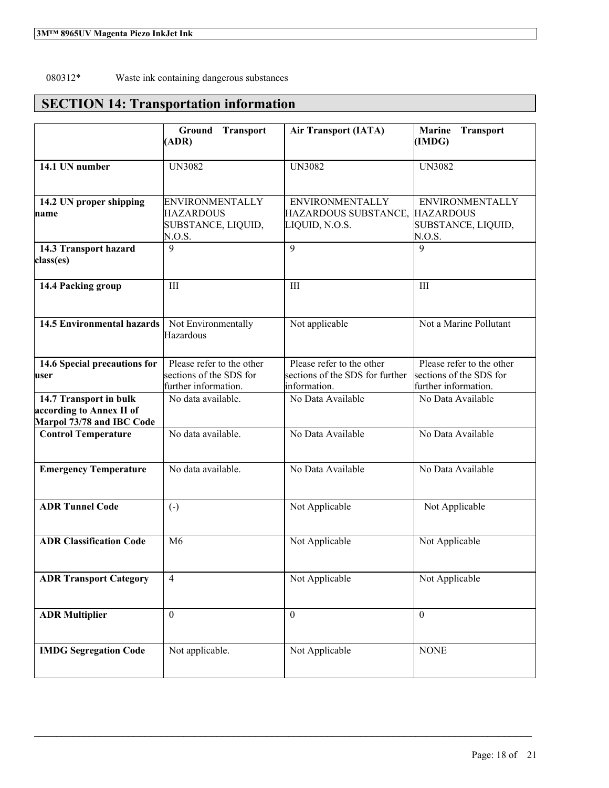## 080312\* Waste ink containing dangerous substances

## **SECTION 14: Transportation information**

|                                                                                 | <b>Transport</b><br>Ground<br>(ADR)                                          | <b>Air Transport (IATA)</b>                                                  | <b>Marine</b><br>Transport<br>(IMDG)                                         |
|---------------------------------------------------------------------------------|------------------------------------------------------------------------------|------------------------------------------------------------------------------|------------------------------------------------------------------------------|
| 14.1 UN number                                                                  | <b>UN3082</b>                                                                | <b>UN3082</b>                                                                | <b>UN3082</b>                                                                |
| 14.2 UN proper shipping<br>name                                                 | <b>ENVIRONMENTALLY</b><br><b>HAZARDOUS</b><br>SUBSTANCE, LIQUID,<br>N.O.S.   | <b>ENVIRONMENTALLY</b><br>HAZARDOUS SUBSTANCE,<br>LIQUID, N.O.S.             | <b>ENVIRONMENTALLY</b><br><b>HAZARDOUS</b><br>SUBSTANCE, LIQUID,<br>N.O.S.   |
| 14.3 Transport hazard<br>class(es)                                              | $\mathbf Q$                                                                  | 9                                                                            | $\mathbf Q$                                                                  |
| 14.4 Packing group                                                              | III                                                                          | III                                                                          | III                                                                          |
| <b>14.5 Environmental hazards</b>                                               | Not Environmentally<br>Hazardous                                             | Not applicable                                                               | Not a Marine Pollutant                                                       |
| 14.6 Special precautions for<br>user                                            | Please refer to the other<br>sections of the SDS for<br>further information. | Please refer to the other<br>sections of the SDS for further<br>information. | Please refer to the other<br>sections of the SDS for<br>further information. |
| 14.7 Transport in bulk<br>according to Annex II of<br>Marpol 73/78 and IBC Code | No data available.                                                           | No Data Available                                                            | No Data Available                                                            |
| <b>Control Temperature</b>                                                      | No data available.                                                           | No Data Available                                                            | No Data Available                                                            |
| <b>Emergency Temperature</b>                                                    | No data available.                                                           | No Data Available                                                            | No Data Available                                                            |
| <b>ADR Tunnel Code</b>                                                          | $\left( -\right)$                                                            | Not Applicable                                                               | Not Applicable                                                               |
| <b>ADR Classification Code</b>                                                  | M <sub>6</sub>                                                               | Not Applicable                                                               | Not Applicable                                                               |
| <b>ADR Transport Category</b>                                                   | $\overline{4}$                                                               | Not Applicable                                                               | Not Applicable                                                               |
| <b>ADR</b> Multiplier                                                           | $\mathbf{0}$                                                                 | $\mathbf{0}$                                                                 | $\boldsymbol{0}$                                                             |
| <b>IMDG Segregation Code</b>                                                    | Not applicable.                                                              | Not Applicable                                                               | <b>NONE</b>                                                                  |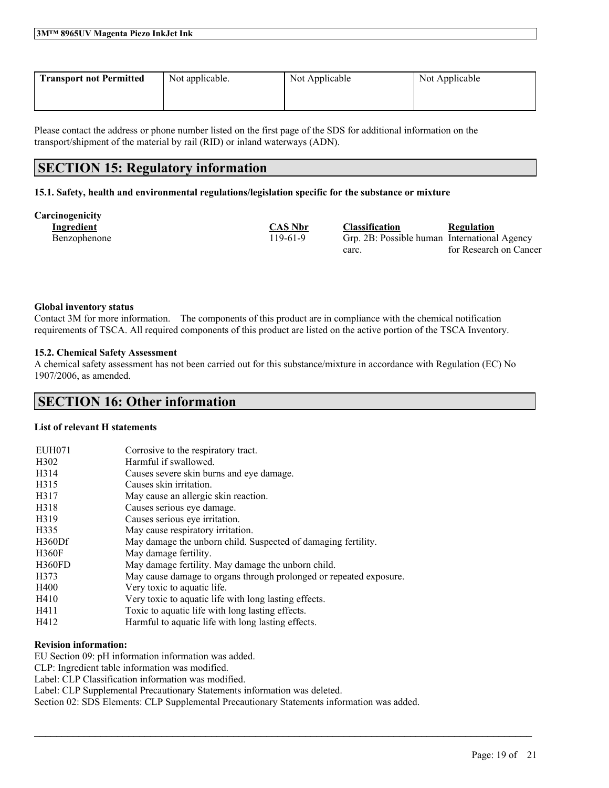| 3MTM 8965UV Magenta Piezo InkJet Ink |  |
|--------------------------------------|--|
|--------------------------------------|--|

| <b>Transport not Permitted</b> | Not applicable. | Not Applicable | Not Applicable |
|--------------------------------|-----------------|----------------|----------------|
|                                |                 |                |                |

Please contact the address or phone number listed on the first page of the SDS for additional information on the transport/shipment of the material by rail (RID) or inland waterways (ADN).

## **SECTION 15: Regulatory information**

#### **15.1. Safety, health and environmental regulations/legislation specific for the substance or mixture**

| Carcinogenicity |  |  |
|-----------------|--|--|
|                 |  |  |

| ешодешен у   |                |                                              |                        |
|--------------|----------------|----------------------------------------------|------------------------|
| Ingredient   | <b>CAS Nbr</b> | <b>Classification</b>                        | Regulation             |
| Benzophenone | $19-61-9$      | Grp. 2B: Possible human International Agency |                        |
|              |                | carc.                                        | for Research on Cancer |

#### **Global inventory status**

Contact 3M for more information. The components of this product are in compliance with the chemical notification requirements of TSCA. All required components of this product are listed on the active portion of the TSCA Inventory.

#### **15.2. Chemical Safety Assessment**

A chemical safety assessment has not been carried out for this substance/mixture in accordance with Regulation (EC) No 1907/2006, as amended.

## **SECTION 16: Other information**

### **List of relevant H statements**

| <b>EUH071</b>     | Corrosive to the respiratory tract.                                |
|-------------------|--------------------------------------------------------------------|
| H <sub>3</sub> 02 | Harmful if swallowed.                                              |
| H314              | Causes severe skin burns and eye damage.                           |
| H315              | Causes skin irritation.                                            |
| H317              | May cause an allergic skin reaction.                               |
| H318              | Causes serious eye damage.                                         |
| H319              | Causes serious eye irritation.                                     |
| H335              | May cause respiratory irritation.                                  |
| H360Df            | May damage the unborn child. Suspected of damaging fertility.      |
| <b>H360F</b>      | May damage fertility.                                              |
| <b>H360FD</b>     | May damage fertility. May damage the unborn child.                 |
| H373              | May cause damage to organs through prolonged or repeated exposure. |
| H400              | Very toxic to aquatic life.                                        |
| H410              | Very toxic to aquatic life with long lasting effects.              |
| H411              | Toxic to aquatic life with long lasting effects.                   |
| H412              | Harmful to aquatic life with long lasting effects.                 |

#### **Revision information:**

EU Section 09: pH information information was added. CLP: Ingredient table information was modified. Label: CLP Classification information was modified. Label: CLP Supplemental Precautionary Statements information was deleted. Section 02: SDS Elements: CLP Supplemental Precautionary Statements information was added.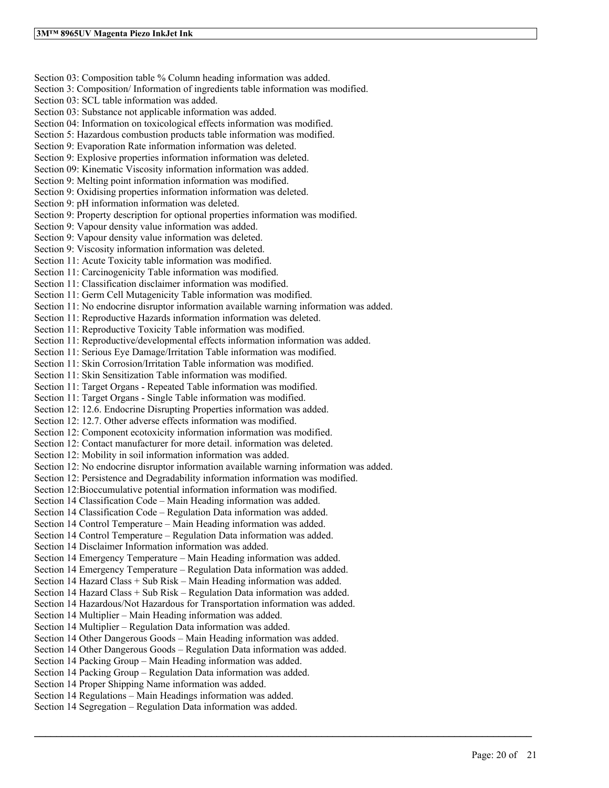Section 03: Composition table % Column heading information was added. Section 3: Composition/ Information of ingredients table information was modified. Section 03: SCL table information was added. Section 03: Substance not applicable information was added. Section 04: Information on toxicological effects information was modified. Section 5: Hazardous combustion products table information was modified. Section 9: Evaporation Rate information information was deleted. Section 9: Explosive properties information information was deleted. Section 09: Kinematic Viscosity information information was added. Section 9: Melting point information information was modified. Section 9: Oxidising properties information information was deleted. Section 9: pH information information was deleted. Section 9: Property description for optional properties information was modified. Section 9: Vapour density value information was added. Section 9: Vapour density value information was deleted. Section 9: Viscosity information information was deleted. Section 11: Acute Toxicity table information was modified. Section 11: Carcinogenicity Table information was modified. Section 11: Classification disclaimer information was modified. Section 11: Germ Cell Mutagenicity Table information was modified. Section 11: No endocrine disruptor information available warning information was added. Section 11: Reproductive Hazards information information was deleted. Section 11: Reproductive Toxicity Table information was modified. Section 11: Reproductive/developmental effects information information was added. Section 11: Serious Eye Damage/Irritation Table information was modified. Section 11: Skin Corrosion/Irritation Table information was modified. Section 11: Skin Sensitization Table information was modified. Section 11: Target Organs - Repeated Table information was modified. Section 11: Target Organs - Single Table information was modified. Section 12: 12.6. Endocrine Disrupting Properties information was added. Section 12: 12.7. Other adverse effects information was modified. Section 12: Component ecotoxicity information information was modified. Section 12: Contact manufacturer for more detail. information was deleted. Section 12: Mobility in soil information information was added. Section 12: No endocrine disruptor information available warning information was added. Section 12: Persistence and Degradability information information was modified. Section 12:Bioccumulative potential information information was modified. Section 14 Classification Code – Main Heading information was added. Section 14 Classification Code – Regulation Data information was added. Section 14 Control Temperature – Main Heading information was added. Section 14 Control Temperature – Regulation Data information was added. Section 14 Disclaimer Information information was added. Section 14 Emergency Temperature – Main Heading information was added. Section 14 Emergency Temperature – Regulation Data information was added. Section 14 Hazard Class + Sub Risk – Main Heading information was added. Section 14 Hazard Class + Sub Risk – Regulation Data information was added. Section 14 Hazardous/Not Hazardous for Transportation information was added. Section 14 Multiplier – Main Heading information was added. Section 14 Multiplier – Regulation Data information was added. Section 14 Other Dangerous Goods – Main Heading information was added. Section 14 Other Dangerous Goods – Regulation Data information was added. Section 14 Packing Group – Main Heading information was added. Section 14 Packing Group – Regulation Data information was added. Section 14 Proper Shipping Name information was added. Section 14 Regulations – Main Headings information was added. Section 14 Segregation – Regulation Data information was added.